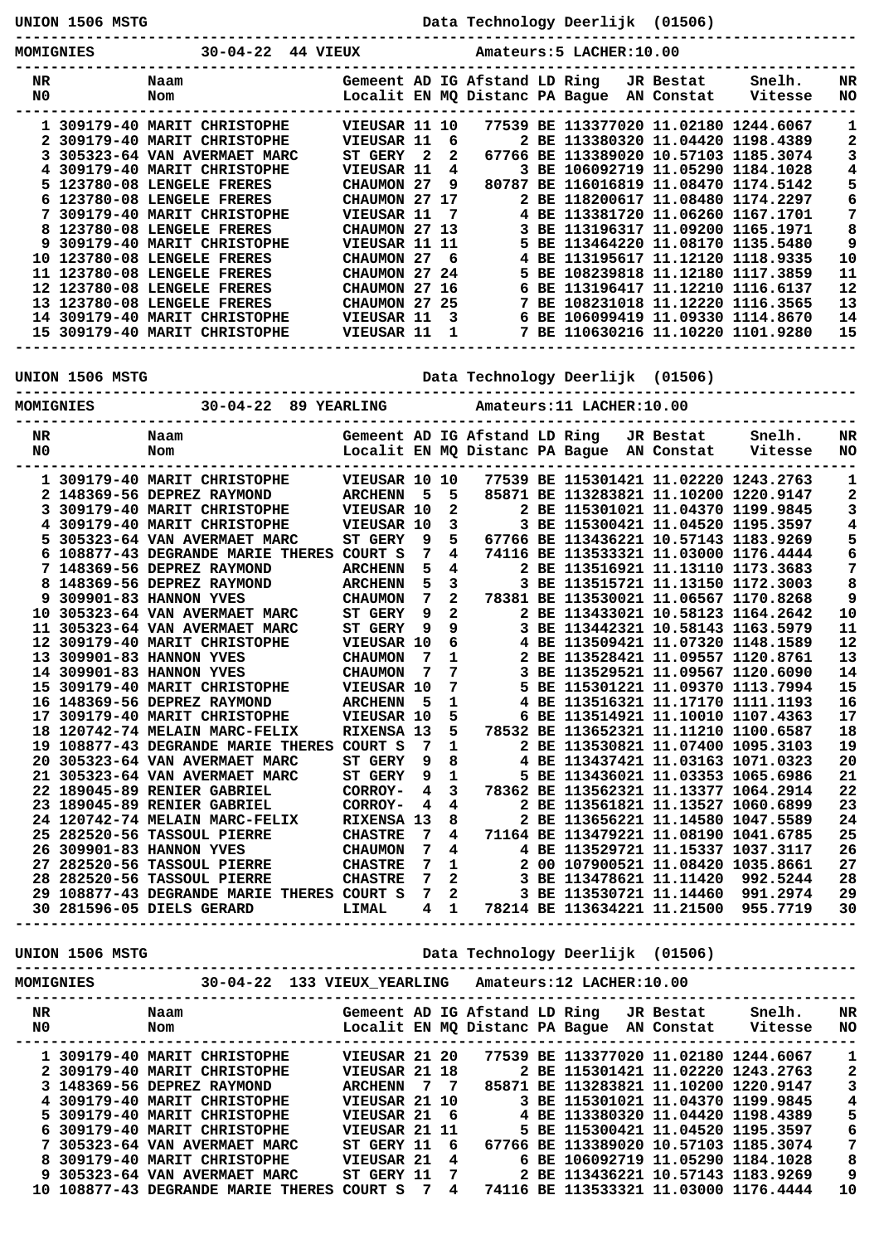**UNION 1506 MSTG Data Technology Deerlijk (01506) ----------------------------------------------------------------------------------------------- MOMIGNIES 30-04-22 44 VIEUX Amateurs:5 LACHER:10.00 ----------------------------------------------------------------------------------------------- NR Naam Gemeent AD IG Afstand LD Ring JR Bestat Snelh. NR N0 Nom Localit EN MQ Distanc PA Bague AN Constat Vitesse NO ----------------------------------------------------------------------------------------------- 1 309179-40 MARIT CHRISTOPHE VIEUSAR 11 10 77539 BE 113377020 11.02180 1244.6067 1 2 309179-40 MARIT CHRISTOPHE VIEUSAR 11 6 2 BE 113380320 11.04420 1198.4389 2 3 305323-64 VAN AVERMAET MARC ST GERY 2 2 67766 BE 113389020 10.57103 1185.3074 3 4 309179-40 MARIT CHRISTOPHE VIEUSAR 11 4 3 BE 106092719 11.05290 1184.1028 4 5 123780-08 LENGELE FRERES CHAUMON 27 9 80787 BE 116016819 11.08470 1174.5142 5 6 123780-08 LENGELE FRERES CHAUMON 27 17 2 BE 118200617 11.08480 1174.2297 6 7 309179-40 MARIT CHRISTOPHE VIEUSAR 11 7 4 BE 113381720 11.06260 1167.1701 7 8 123780-08 LENGELE FRERES CHAUMON 27 13 3 BE 113196317 11.09200 1165.1971 8 9 309179-40 MARIT CHRISTOPHE VIEUSAR 11 11 5 BE 113464220 11.08170 1135.5480 9 10 123780-08 LENGELE FRERES CHAUMON 27 6 4 BE 113195617 11.12120 1118.9335 10 11 123780-08 LENGELE FRERES CHAUMON 27 24 5 BE 108239818 11.12180 1117.3859 11 12 123780-08 LENGELE FRERES CHAUMON 27 16 6 BE 113196417 11.12210 1116.6137 12 13 123780-08 LENGELE FRERES CHAUMON 27 25 7 BE 108231018 11.12220 1116.3565 13 14 309179-40 MARIT CHRISTOPHE VIEUSAR 11 3 6 BE 106099419 11.09330 1114.8670 14 15 309179-40 MARIT CHRISTOPHE VIEUSAR 11 1 7 BE 110630216 11.10220 1101.9280 15 -----------------------------------------------------------------------------------------------**

**-----------------------------------------------------------------------------------------------**

**UNION 1506 MSTG Data Technology Deerlijk (01506)**

**MOMIGNIES 30-04-22 89 YEARLING Amateurs:11 LACHER:10.00 ----------------------------------------------------------------------------------------------- NR Naam Gemeent AD IG Afstand LD Ring JR Bestat Snelh. NR N0 Nom Localit EN MQ Distanc PA Bague AN Constat Vitesse NO ----------------------------------------------------------------------------------------------- 1 309179-40 MARIT CHRISTOPHE VIEUSAR 10 10 77539 BE 115301421 11.02220 1243.2763 1 2 148369-56 DEPREZ RAYMOND ARCHENN 5 5 85871 BE 113283821 11.10200 1220.9147 2 3 309179-40 MARIT CHRISTOPHE VIEUSAR 10 2 2 BE 115301021 11.04370 1199.9845 3 4 309179-40 MARIT CHRISTOPHE VIEUSAR 10 3 3 BE 115300421 11.04520 1195.3597 4 5 305323-64 VAN AVERMAET MARC ST GERY 9 5 67766 BE 113436221 10.57143 1183.9269 5 6 108877-43 DEGRANDE MARIE THERES COURT S 7 4 74116 BE 113533321 11.03000 1176.4444 6 7 148369-56 DEPREZ RAYMOND ARCHENN 5 4 2 BE 113516921 11.13110 1173.3683 7 8 148369-56 DEPREZ RAYMOND ARCHENN 5 3 3 BE 113515721 11.13150 1172.3003 8 9 309901-83 HANNON YVES CHAUMON 7 2 78381 BE 113530021 11.06567 1170.8268 9 10 305323-64 VAN AVERMAET MARC ST GERY 9 2 2 BE 113433021 10.58123 1164.2642 10 11 305323-64 VAN AVERMAET MARC ST GERY 9 9 3 BE 113442321 10.58143 1163.5979 11 12 309179-40 MARIT CHRISTOPHE VIEUSAR 10 6 4 BE 113509421 11.07320 1148.1589 12 13 309901-83 HANNON YVES CHAUMON 7 1 2 BE 113528421 11.09557 1120.8761 13 14 309901-83 HANNON YVES CHAUMON 7 7 3 BE 113529521 11.09567 1120.6090 14 15 309179-40 MARIT CHRISTOPHE VIEUSAR 10 7 5 BE 115301221 11.09370 1113.7994 15 16 148369-56 DEPREZ RAYMOND ARCHENN 5 1 4 BE 113516321 11.17170 1111.1193 16 17 309179-40 MARIT CHRISTOPHE VIEUSAR 10 5 6 BE 113514921 11.10010 1107.4363 17 18 120742-74 MELAIN MARC-FELIX RIXENSA 13 5 78532 BE 113652321 11.11210 1100.6587 18 19 108877-43 DEGRANDE MARIE THERES COURT S 7 1 2 BE 113530821 11.07400 1095.3103 19 20 305323-64 VAN AVERMAET MARC ST GERY 9 8 4 BE 113437421 11.03163 1071.0323 20 21 305323-64 VAN AVERMAET MARC ST GERY 9 1 5 BE 113436021 11.03353 1065.6986 21 22 189045-89 RENIER GABRIEL CORROY- 4 3 78362 BE 113562321 11.13377 1064.2914 22 23 189045-89 RENIER GABRIEL CORROY- 4 4 2 BE 113561821 11.13527 1060.6899 23 24 120742-74 MELAIN MARC-FELIX RIXENSA 13 8 2 BE 113656221 11.14580 1047.5589 24 25 282520-56 TASSOUL PIERRE CHASTRE 7 4 71164 BE 113479221 11.08190 1041.6785 25 26 309901-83 HANNON YVES CHAUMON 7 4 4 BE 113529721 11.15337 1037.3117 26 27 282520-56 TASSOUL PIERRE CHASTRE 7 1 2 00 107900521 11.08420 1035.8661 27 28 282520-56 TASSOUL PIERRE CHASTRE 7 2 3 BE 113478621 11.11420 992.5244 28 29 108877-43 DEGRANDE MARIE THERES COURT S 7 2 3 BE 113530721 11.14460 991.2974 29 30 281596-05 DIELS GERARD LIMAL 4 1 78214 BE 113634221 11.21500 955.7719 30 -----------------------------------------------------------------------------------------------**

**UNION 1506 MSTG Data Technology Deerlijk (01506)**

**MOMIGNIES 30-04-22 133 VIEUX\_YEARLING Amateurs:12 LACHER:10.00 -----------------------------------------------------------------------------------------------**

**-----------------------------------------------------------------------------------------------**

| NR | Naam                               |               |    | Gemeent AD IG Afstand LD Ring  |  | JR Bestat  | Snelh.                                | NR  |
|----|------------------------------------|---------------|----|--------------------------------|--|------------|---------------------------------------|-----|
| N0 | Nom                                |               |    | Localit EN MO Distanc PA Baque |  | AN Constat | Vitesse                               | NO. |
|    |                                    |               |    |                                |  |            |                                       |     |
|    | 1 309179-40 MARIT CHRISTOPHE       | VIEUSAR 21 20 |    |                                |  |            | 77539 BE 113377020 11.02180 1244.6067 |     |
|    | 2 309179-40 MARIT CHRISTOPHE       | VIEUSAR 21 18 |    |                                |  |            | 2 BE 115301421 11.02220 1243.2763     | 2   |
|    | 3 148369-56 DEPREZ RAYMOND         | ARCHENN 7 7   |    |                                |  |            | 85871 BE 113283821 11.10200 1220.9147 | 3   |
|    | 4 309179-40 MARIT CHRISTOPHE       | VIEUSAR 21 10 |    |                                |  |            | 3 BE 115301021 11.04370 1199.9845     | 4   |
|    | 5 309179-40 MARIT CHRISTOPHE       | VIEUSAR 21 6  |    |                                |  |            | 4 BE 113380320 11.04420 1198.4389     | 5   |
|    | 6 309179-40 MARIT CHRISTOPHE       | VIEUSAR 21 11 |    |                                |  |            | 5 BE 115300421 11.04520 1195.3597     | 6   |
|    | 7 305323-64 VAN AVERMAET MARC      | ST GERY 11    | -6 |                                |  |            | 67766 BE 113389020 10.57103 1185.3074 | 7   |
|    | 8 309179-40 MARIT CHRISTOPHE       | VIEUSAR 21    | 4  |                                |  |            | 6 BE 106092719 11.05290 1184.1028     | 8   |
|    | 9 305323-64 VAN AVERMAET MARC      | ST GERY 11    | -7 |                                |  |            | 2 BE 113436221 10.57143 1183.9269     | 9   |
|    | 10 108877-43 DEGRANDE MARIE THERES | COURT S       | 4  |                                |  |            | 74116 BE 113533321 11.03000 1176.4444 | 10  |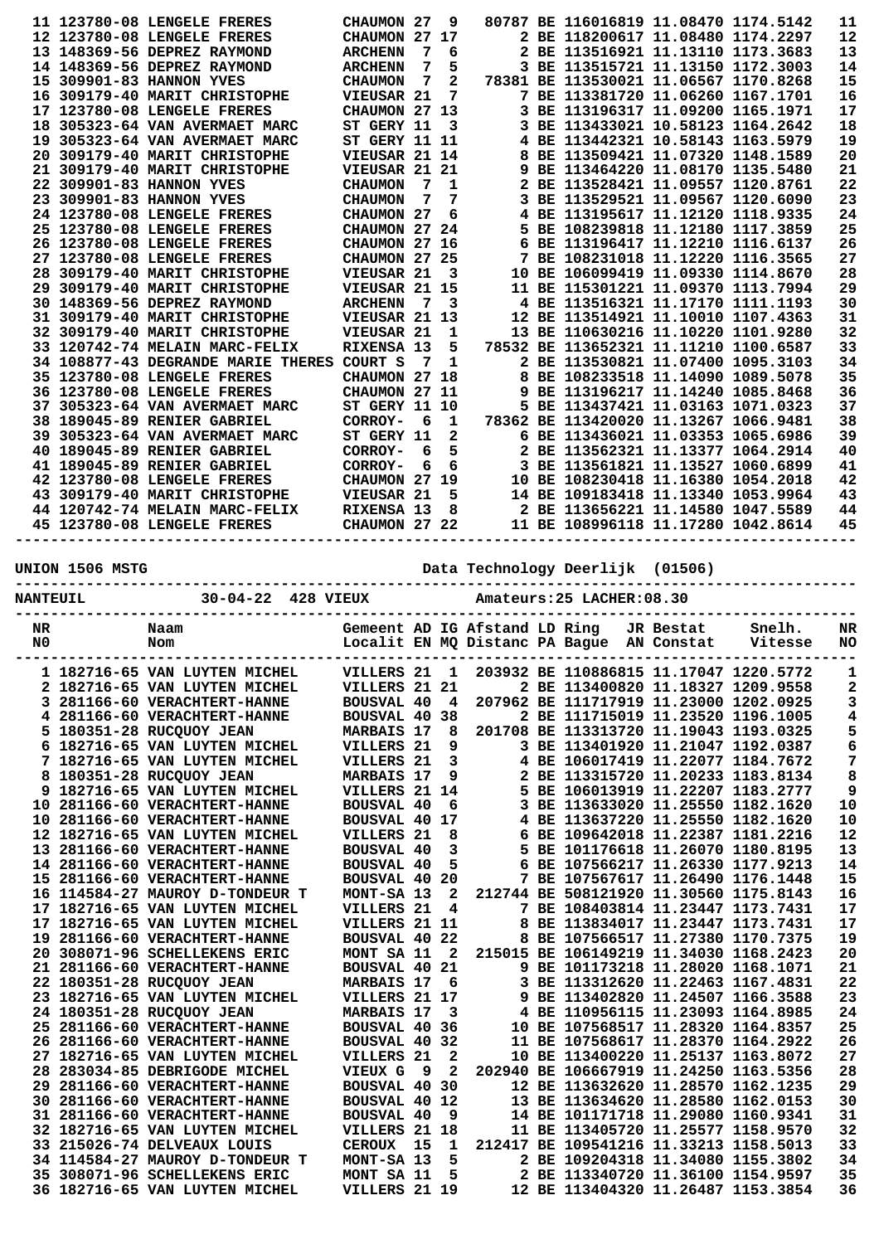|                 |                 | 11 123780-08 LENGELE FRERES                                            | CHAUMON 27                    |     | 9            |  | 80787 BE 116016819 11.08470 1174.5142                                   |           |         | 11           |
|-----------------|-----------------|------------------------------------------------------------------------|-------------------------------|-----|--------------|--|-------------------------------------------------------------------------|-----------|---------|--------------|
|                 |                 | 12 123780-08 LENGELE FRERES                                            | CHAUMON 27 17                 |     |              |  | 2 BE 118200617 11.08480 1174.2297                                       |           |         | 12           |
|                 |                 | 13 148369-56 DEPREZ RAYMOND                                            | <b>ARCHENN</b>                | 7   | 6            |  | 2 BE 113516921 11.13110 1173.3683                                       |           |         | 13           |
|                 |                 | 14 148369-56 DEPREZ RAYMOND                                            | <b>ARCHENN</b>                | 7   | 5            |  | 3 BE 113515721 11.13150 1172.3003                                       |           |         | 14           |
|                 |                 | 15 309901-83 HANNON YVES                                               | <b>CHAUMON</b>                | 7   | $\mathbf{2}$ |  | 78381 BE 113530021 11.06567 1170.8268                                   |           |         | 15           |
|                 |                 | 16 309179-40 MARIT CHRISTOPHE                                          | VIEUSAR 21                    |     | 7            |  | 7 BE 113381720 11.06260 1167.1701                                       |           |         | 16           |
|                 |                 | 17 123780-08 LENGELE FRERES                                            | CHAUMON 27 13                 |     |              |  | 3 BE 113196317 11.09200 1165.1971                                       |           |         | 17           |
|                 |                 | 18 305323-64 VAN AVERMAET MARC                                         | ST GERY 11                    |     | 3            |  | 3 BE 113433021 10.58123 1164.2642                                       |           |         | 18           |
|                 |                 | 19 305323-64 VAN AVERMAET MARC                                         | <b>ST GERY 11 11</b>          |     |              |  | 4 BE 113442321 10.58143 1163.5979                                       |           |         | 19           |
|                 |                 | 20 309179-40 MARIT CHRISTOPHE                                          | VIEUSAR 21 14                 |     |              |  | 8 BE 113509421 11.07320 1148.1589                                       |           |         | 20           |
|                 |                 | 21 309179-40 MARIT CHRISTOPHE                                          | VIEUSAR 21 21                 |     |              |  | 9 BE 113464220 11.08170 1135.5480                                       |           |         | 21           |
|                 |                 | 22 309901-83 HANNON YVES                                               | <b>CHAUMON</b>                | 7   | 1            |  | 2 BE 113528421 11.09557 1120.8761                                       |           |         | 22           |
|                 |                 | 23 309901-83 HANNON YVES                                               | <b>CHAUMON</b>                | 7   | 7            |  | 3 BE 113529521 11.09567 1120.6090                                       |           |         | 23           |
|                 |                 | 24 123780-08 LENGELE FRERES                                            | CHAUMON 27                    |     | 6            |  | 4 BE 113195617 11.12120 1118.9335                                       |           |         | 24           |
|                 |                 | 25 123780-08 LENGELE FRERES                                            | CHAUMON 27 24                 |     |              |  | 5 BE 108239818 11.12180 1117.3859                                       |           |         | 25<br>26     |
|                 |                 | 26 123780-08 LENGELE FRERES                                            | CHAUMON 27 16                 |     |              |  | 6 BE 113196417 11.12210 1116.6137                                       |           |         |              |
|                 |                 | 27 123780-08 LENGELE FRERES<br>28 309179-40 MARIT CHRISTOPHE           | CHAUMON 27 25<br>VIEUSAR 21   |     | 3            |  | 7 BE 108231018 11.12220 1116.3565<br>10 BE 106099419 11.09330 1114.8670 |           |         | 27<br>28     |
|                 |                 | 29 309179-40 MARIT CHRISTOPHE                                          | VIEUSAR 21 15                 |     |              |  | 11 BE 115301221 11.09370 1113.7994                                      |           |         | 29           |
|                 |                 | 30 148369-56 DEPREZ RAYMOND                                            | <b>ARCHENN</b>                | 7   | 3            |  | 4 BE 113516321 11.17170 1111.1193                                       |           |         | 30           |
|                 |                 | 31 309179-40 MARIT CHRISTOPHE                                          | VIEUSAR 21 13                 |     |              |  | 12 BE 113514921 11.10010 1107.4363                                      |           |         | 31           |
|                 |                 | 32 309179-40 MARIT CHRISTOPHE                                          | VIEUSAR 21                    |     | 1            |  | 13 BE 110630216 11.10220 1101.9280                                      |           |         | 32           |
|                 |                 | 33 120742-74 MELAIN MARC-FELIX                                         | RIXENSA 13                    |     | 5            |  | 78532 BE 113652321 11.11210 1100.6587                                   |           |         | 33           |
|                 |                 | 34 108877-43 DEGRANDE MARIE THERES COURT S                             |                               | 7   | 1            |  | 2 BE 113530821 11.07400 1095.3103                                       |           |         | 34           |
|                 |                 | 35 123780-08 LENGELE FRERES                                            | CHAUMON 27 18                 |     |              |  | 8 BE 108233518 11.14090 1089.5078                                       |           |         | 35           |
|                 |                 | 36 123780-08 LENGELE FRERES                                            | CHAUMON 27 11                 |     |              |  | 9 BE 113196217 11.14240 1085.8468                                       |           |         | 36           |
|                 |                 | 37 305323-64 VAN AVERMAET MARC                                         | <b>ST GERY 11 10</b>          |     |              |  | 5 BE 113437421 11.03163 1071.0323                                       |           |         | 37           |
|                 |                 |                                                                        |                               |     |              |  |                                                                         |           |         | 38           |
|                 |                 | 38 189045-89 RENIER GABRIEL                                            | CORROY-                       | - 6 | 1            |  | 78362 BE 113420020 11.13267 1066.9481                                   |           |         |              |
|                 |                 | 39 305323-64 VAN AVERMAET MARC                                         | ST GERY 11                    |     | 2            |  | 6 BE 113436021 11.03353 1065.6986                                       |           |         | 39           |
|                 |                 | 40 189045-89 RENIER GABRIEL                                            | CORROY-                       | 6   | 5            |  | 2 BE 113562321 11.13377 1064.2914                                       |           |         | 40           |
|                 |                 | 41 189045-89 RENIER GABRIEL                                            | CORROY-                       | 6   | 6            |  | 3 BE 113561821 11.13527 1060.6899                                       |           |         | 41           |
|                 |                 | 42 123780-08 LENGELE FRERES                                            | CHAUMON 27 19                 |     |              |  | 10 BE 108230418 11.16380 1054.2018                                      |           |         | 42           |
|                 |                 | 43 309179-40 MARIT CHRISTOPHE                                          | VIEUSAR 21                    |     | 5            |  | 14 BE 109183418 11.13340 1053.9964                                      |           |         | 43           |
|                 |                 | 44 120742-74 MELAIN MARC-FELIX                                         | RIXENSA 13                    |     | 8            |  | 2 BE 113656221 11.14580 1047.5589                                       |           |         | 44           |
|                 |                 | 45 123780-08 LENGELE FRERES                                            | <b>CHAUMON 27 22</b>          |     |              |  | 11 BE 108996118 11.17280 1042.8614                                      |           |         | 45           |
|                 | UNION 1506 MSTG |                                                                        |                               |     |              |  | Data Technology Deerlijk (01506)                                        |           |         |              |
| <b>NANTEUIL</b> |                 | 30-04-22 428 VIEUX                                                     |                               |     |              |  | Amateurs: 25 LACHER: 08.30                                              |           |         |              |
| NR              |                 | Naam                                                                   | Gemeent AD IG Afstand LD Ring |     |              |  |                                                                         | JR Bestat | Snelh.  | NR           |
| N0              |                 | Nom                                                                    |                               |     |              |  | Localit EN MQ Distanc PA Bague AN Constat                               |           | Vitesse | NO           |
|                 |                 |                                                                        |                               |     |              |  |                                                                         |           |         |              |
|                 |                 | 1 182716-65 VAN LUYTEN MICHEL                                          |                               |     |              |  | VILLERS 21 1 203932 BE 110886815 11.17047 1220.5772                     |           |         | $\mathbf{1}$ |
|                 |                 | 2 182716-65 VAN LUYTEN MICHEL                                          | VILLERS 21 21                 |     |              |  | 2 BE 113400820 11.18327 1209.9558                                       |           |         | 2            |
|                 |                 | 3 281166-60 VERACHTERT-HANNE                                           | BOUSVAL 40 4                  |     |              |  | 207962 BE 111717919 11.23000 1202.0925                                  |           |         | 3            |
|                 |                 | 4 281166-60 VERACHTERT-HANNE                                           | <b>BOUSVAL 40 38</b>          |     |              |  | 2 BE 111715019 11.23520 1196.1005                                       |           |         | 4            |
|                 |                 | 5 180351-28 RUCQUOY JEAN                                               | <b>MARBAIS 17</b>             |     | 8            |  | 201708 BE 113313720 11.19043 1193.0325                                  |           |         | 5            |
|                 |                 | 6 182716-65 VAN LUYTEN MICHEL                                          | VILLERS 21                    |     | 9            |  | 3 BE 113401920 11.21047 1192.0387                                       |           |         | 6            |
|                 |                 | 7 182716-65 VAN LUYTEN MICHEL                                          | VILLERS 21                    |     | 3            |  | 4 BE 106017419 11.22077 1184.7672                                       |           |         | 7            |
|                 |                 | 8 180351-28 RUCQUOY JEAN                                               | <b>MARBAIS 17</b>             |     | 9            |  | 2 BE 113315720 11.20233 1183.8134                                       |           |         | 8            |
|                 |                 | 9 182716-65 VAN LUYTEN MICHEL                                          | VILLERS 21 14                 |     |              |  | 5 BE 106013919 11.22207 1183.2777                                       |           |         | 9            |
|                 |                 | 10 281166-60 VERACHTERT-HANNE                                          | <b>BOUSVAL 40</b>             |     | 6            |  | 3 BE 113633020 11.25550 1182.1620                                       |           |         | 10           |
|                 |                 | 10 281166-60 VERACHTERT-HANNE                                          | BOUSVAL 40 17                 |     |              |  | 4 BE 113637220 11.25550 1182.1620                                       |           |         | 10           |
|                 |                 | 12 182716-65 VAN LUYTEN MICHEL                                         | VILLERS 21                    |     | 8            |  | 6 BE 109642018 11.22387 1181.2216                                       |           |         | 12           |
|                 |                 | 13 281166-60 VERACHTERT-HANNE                                          | <b>BOUSVAL 40</b>             |     | 3            |  | 5 BE 101176618 11.26070 1180.8195                                       |           |         | 13           |
|                 |                 | 14 281166-60 VERACHTERT-HANNE                                          | <b>BOUSVAL 40</b>             |     | 5            |  | 6 BE 107566217 11.26330 1177.9213                                       |           |         | 14           |
|                 |                 | 15 281166-60 VERACHTERT-HANNE                                          | BOUSVAL 40 20                 |     |              |  | 7 BE 107567617 11.26490 1176.1448                                       |           |         | 15           |
|                 |                 | 16 114584-27 MAUROY D-TONDEUR T                                        | MONT-SA 13                    |     | 2            |  | 212744 BE 508121920 11.30560 1175.8143                                  |           |         | 16           |
|                 |                 | 17 182716-65 VAN LUYTEN MICHEL                                         | VILLERS 21                    |     | 4            |  | 7 BE 108403814 11.23447 1173.7431                                       |           |         | 17           |
|                 |                 | 17 182716-65 VAN LUYTEN MICHEL                                         | VILLERS 21 11                 |     |              |  | 8 BE 113834017 11.23447 1173.7431                                       |           |         | 17           |
|                 |                 | 19 281166-60 VERACHTERT-HANNE                                          | BOUSVAL 40 22                 |     |              |  | 8 BE 107566517 11.27380 1170.7375                                       |           |         | 19           |
|                 |                 | 20 308071-96 SCHELLEKENS ERIC                                          | MONT SA 11 2                  |     |              |  | 215015 BE 106149219 11.34030 1168.2423                                  |           |         | 20           |
|                 |                 | 21 281166-60 VERACHTERT-HANNE                                          | <b>BOUSVAL 40 21</b>          |     |              |  | 9 BE 101173218 11.28020 1168.1071                                       |           |         | 21           |
|                 |                 | 22 180351-28 RUCQUOY JEAN                                              | <b>MARBAIS 17</b>             |     | 6            |  | 3 BE 113312620 11.22463 1167.4831                                       |           |         | 22           |
|                 |                 | 23 182716-65 VAN LUYTEN MICHEL                                         | VILLERS 21 17                 |     |              |  | 9 BE 113402820 11.24507 1166.3588                                       |           |         | 23           |
|                 |                 | 24 180351-28 RUCQUOY JEAN                                              | <b>MARBAIS 17</b>             |     | 3            |  | 4 BE 110956115 11.23093 1164.8985                                       |           |         | 24           |
|                 |                 | 25 281166-60 VERACHTERT-HANNE                                          | <b>BOUSVAL 40 36</b>          |     |              |  | 10 BE 107568517 11.28320 1164.8357                                      |           |         | 25           |
|                 |                 | 26 281166-60 VERACHTERT-HANNE                                          | BOUSVAL 40 32                 |     |              |  | 11 BE 107568617 11.28370 1164.2922                                      |           |         | 26           |
|                 |                 | 27 182716-65 VAN LUYTEN MICHEL                                         | VILLERS 21                    |     | 2            |  | 10 BE 113400220 11.25137 1163.8072                                      |           |         | 27           |
|                 |                 | 28 283034-85 DEBRIGODE MICHEL                                          | VIEUX G                       | 9۔  | $\mathbf{2}$ |  | 202940 BE 106667919 11.24250 1163.5356                                  |           |         | 28           |
|                 |                 | 29 281166-60 VERACHTERT-HANNE                                          | BOUSVAL 40 30                 |     |              |  | 12 BE 113632620 11.28570 1162.1235                                      |           |         | 29           |
|                 |                 | 30 281166-60 VERACHTERT-HANNE                                          | <b>BOUSVAL 40 12</b>          |     |              |  | 13 BE 113634620 11.28580 1162.0153                                      |           |         | 30           |
|                 |                 | 31 281166-60 VERACHTERT-HANNE                                          | <b>BOUSVAL 40</b>             |     | - 9          |  | 14 BE 101171718 11.29080 1160.9341                                      |           |         | 31           |
|                 |                 | 32 182716-65 VAN LUYTEN MICHEL                                         | VILLERS 21 18                 |     |              |  | 11 BE 113405720 11.25577 1158.9570                                      |           |         | 32           |
|                 |                 | 33 215026-74 DELVEAUX LOUIS                                            | CEROUX 15                     |     | 1            |  | 212417 BE 109541216 11.33213 1158.5013                                  |           |         | 33           |
|                 |                 | 34 114584-27 MAUROY D-TONDEUR T                                        | MONT-SA 13                    |     | 5            |  | 2 BE 109204318 11.34080 1155.3802                                       |           |         | 34           |
|                 |                 | 35 308071-96 SCHELLEKENS ERIC<br><b>36 182716-65 VAN LUYTEN MICHEL</b> | MONT SA 11<br>VILLERS 21 19   |     | 5            |  | 2 BE 113340720 11.36100 1154.9597<br>12 BE 113404320 11.26487 1153.3854 |           |         | 35<br>36     |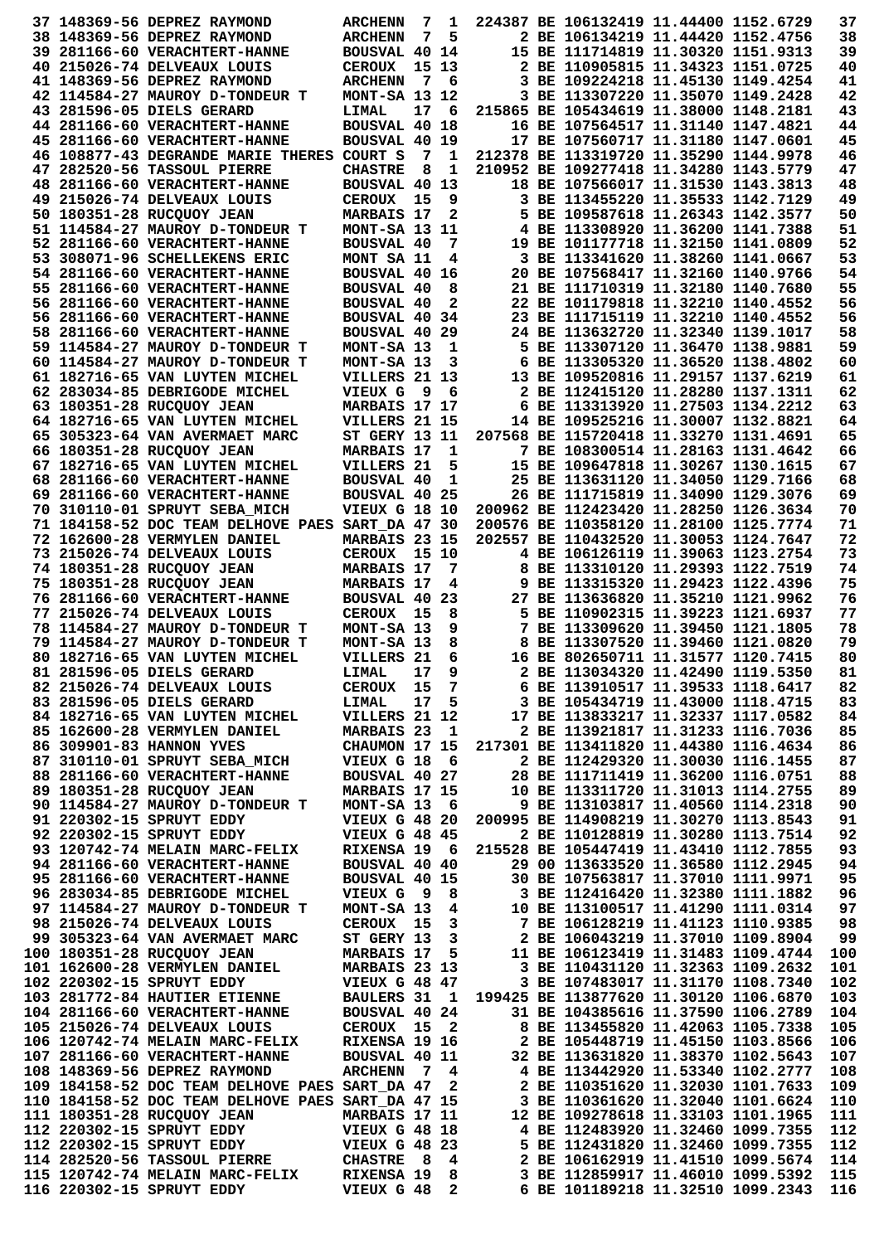|  | 37 148369-56 DEPREZ RAYMOND                                                                         | <b>ARCHENN</b>                  | 7     | 1                        | 224387 BE 106132419 11.44400 1152.6729                                  |                                   | 37         |
|--|-----------------------------------------------------------------------------------------------------|---------------------------------|-------|--------------------------|-------------------------------------------------------------------------|-----------------------------------|------------|
|  | 38 148369-56 DEPREZ RAYMOND                                                                         | <b>ARCHENN</b>                  | 7     | 5                        | 2 BE 106134219 11.44420 1152.4756                                       |                                   | 38         |
|  | 39 281166-60 VERACHTERT-HANNE                                                                       | BOUSVAL 40 14                   |       |                          | 15 BE 111714819 11.30320 1151.9313                                      |                                   | 39         |
|  | 40 215026-74 DELVEAUX LOUIS                                                                         | <b>CEROUX</b>                   |       | 15 13                    | 2 BE 110905815 11.34323 1151.0725                                       |                                   | 40         |
|  | 41 148369-56 DEPREZ RAYMOND                                                                         | <b>ARCHENN</b>                  |       | 7 6                      | 3 BE 109224218 11.45130 1149.4254                                       |                                   | 41         |
|  | 42 114584-27 MAUROY D-TONDEUR T                                                                     | MONT-SA 13 12                   |       |                          | 3 BE 113307220 11.35070 1149.2428                                       |                                   | 42         |
|  | 43 281596-05 DIELS GERARD                                                                           | LIMAL                           | 17    | - 6                      | 215865 BE 105434619 11.38000 1148.2181                                  |                                   | 43         |
|  | 44 281166-60 VERACHTERT-HANNE                                                                       | <b>BOUSVAL 40 18</b>            |       |                          | 16 BE 107564517 11.31140 1147.4821                                      |                                   | 44         |
|  | 45 281166-60 VERACHTERT-HANNE                                                                       | BOUSVAL 40 19                   |       |                          | 17 BE 107560717 11.31180 1147.0601                                      |                                   | 45         |
|  | 46 108877-43 DEGRANDE MARIE THERES COURT S                                                          |                                 | 7     | 1                        | 212378 BE 113319720 11.35290 1144.9978                                  |                                   | 46         |
|  | 47 282520-56 TASSOUL PIERRE                                                                         | <b>CHASTRE</b>                  | 8     | 1                        | 210952 BE 109277418 11.34280 1143.5779                                  |                                   | 47         |
|  | 48 281166-60 VERACHTERT-HANNE                                                                       | BOUSVAL 40 13                   |       |                          | 18 BE 107566017 11.31530 1143.3813                                      |                                   | 48         |
|  | 49 215026-74 DELVEAUX LOUIS                                                                         | <b>CEROUX</b>                   | 15    | 9                        | 3 BE 113455220 11.35533 1142.7129                                       |                                   | 49         |
|  | 50 180351-28 RUCQUOY JEAN                                                                           | MARBAIS 17                      |       | 2                        | 5 BE 109587618 11.26343 1142.3577                                       |                                   | 50         |
|  | 51 114584-27 MAUROY D-TONDEUR T                                                                     | MONT-SA 13 11                   |       |                          | 4 BE 113308920 11.36200 1141.7388                                       |                                   | 51         |
|  | 52 281166-60 VERACHTERT-HANNE                                                                       | <b>BOUSVAL 40</b>               |       | 7                        | 19 BE 101177718 11.32150 1141.0809                                      |                                   | 52         |
|  | 53 308071-96 SCHELLEKENS ERIC                                                                       | MONT SA 11                      |       | 4                        | 3 BE 113341620 11.38260 1141.0667                                       |                                   | 53         |
|  | 54 281166-60 VERACHTERT-HANNE                                                                       | <b>BOUSVAL 40 16</b>            |       |                          | 20 BE 107568417 11.32160 1140.9766                                      |                                   | 54         |
|  | 55 281166-60 VERACHTERT-HANNE                                                                       | <b>BOUSVAL 40</b>               |       | 8                        | 21 BE 111710319 11.32180 1140.7680                                      |                                   | 55         |
|  | 56 281166-60 VERACHTERT-HANNE                                                                       | <b>BOUSVAL 40</b>               |       | $\mathbf{2}$             | 22 BE 101179818 11.32210 1140.4552                                      |                                   | 56         |
|  | 56 281166-60 VERACHTERT-HANNE                                                                       | BOUSVAL 40 34                   |       |                          | 23 BE 111715119 11.32210 1140.4552                                      |                                   | 56         |
|  | 58 281166-60 VERACHTERT-HANNE                                                                       | BOUSVAL 40 29                   |       |                          | 24 BE 113632720 11.32340 1139.1017                                      |                                   | 58         |
|  | 59 114584-27 MAUROY D-TONDEUR T                                                                     | MONT-SA 13                      |       | 1                        | 5 BE 113307120 11.36470 1138.9881                                       |                                   | 59         |
|  | 60 114584-27 MAUROY D-TONDEUR T                                                                     | MONT-SA 13                      |       | 3                        | 6 BE 113305320 11.36520 1138.4802                                       |                                   | 60         |
|  | 61 182716-65 VAN LUYTEN MICHEL                                                                      | VILLERS 21 13                   |       |                          | 13 BE 109520816 11.29157 1137.6219                                      |                                   | 61         |
|  | 62 283034-85 DEBRIGODE MICHEL                                                                       | VIEUX G                         | و -   | 6                        | 2 BE 112415120 11.28280 1137.1311                                       |                                   | 62         |
|  | 63 180351-28 RUCQUOY JEAN                                                                           | MARBAIS 17 17                   |       |                          | 6 BE 113313920 11.27503 1134.2212                                       |                                   | 63         |
|  | 64 182716-65 VAN LUYTEN MICHEL                                                                      | VILLERS 21 15                   |       |                          | 14 BE 109525216 11.30007 1132.8821                                      |                                   | 64         |
|  | 65 305323-64 VAN AVERMAET MARC                                                                      | ST GERY 13 11                   |       |                          | 207568 BE 115720418 11.33270 1131.4691                                  |                                   | 65         |
|  | 66 180351-28 RUCQUOY JEAN                                                                           | <b>MARBAIS 17</b>               |       | 1                        | 7 BE 108300514 11.28163 1131.4642                                       |                                   | 66         |
|  | 67 182716-65 VAN LUYTEN MICHEL                                                                      | VILLERS 21                      |       | 5                        | 15 BE 109647818 11.30267 1130.1615                                      |                                   | 67         |
|  | 68 281166-60 VERACHTERT-HANNE                                                                       | <b>BOUSVAL 40</b>               |       | 1                        | 25 BE 113631120 11.34050 1129.7166                                      |                                   | 68         |
|  | 69 281166-60 VERACHTERT-HANNE                                                                       | BOUSVAL 40 25                   |       |                          | 26 BE 111715819 11.34090 1129.3076                                      |                                   | 69         |
|  | 70 310110-01 SPRUYT SEBA MICH                                                                       | VIEUX G 18 10                   |       |                          | 200962 BE 112423420 11.28250 1126.3634                                  |                                   | 70         |
|  | 71 184158-52 DOC TEAM DELHOVE PAES SART_DA 47 30                                                    |                                 |       |                          | 200576 BE 110358120 11.28100 1125.7774                                  |                                   | 71         |
|  | 72 162600-28 VERMYLEN DANIEL                                                                        | MARBAIS 23 15                   |       |                          | 202557 BE 110432520 11.30053 1124.7647                                  |                                   | 72         |
|  | 73 215026-74 DELVEAUX LOUIS                                                                         | <b>CEROUX</b>                   | 15 10 |                          | 4 BE 106126119 11.39063 1123.2754                                       |                                   | 73         |
|  | 74 180351-28 RUCQUOY JEAN                                                                           | <b>MARBAIS 17</b>               |       | 7                        | 8 BE 113310120 11.29393 1122.7519                                       |                                   | 74         |
|  | 75 180351-28 RUCQUOY JEAN                                                                           | <b>MARBAIS 17</b>               |       | 4                        | 9 BE 113315320 11.29423 1122.4396                                       |                                   | 75         |
|  | 76 281166-60 VERACHTERT-HANNE                                                                       | BOUSVAL 40 23                   |       |                          | 27 BE 113636820 11.35210 1121.9962                                      |                                   | 76         |
|  | 77 215026-74 DELVEAUX LOUIS                                                                         | <b>CEROUX</b>                   | 15    | 8                        | 5 BE 110902315 11.39223 1121.6937                                       |                                   | 77         |
|  | 78 114584-27 MAUROY D-TONDEUR T                                                                     | MONT-SA 13                      |       | 9                        | 7 BE 113309620 11.39450 1121.1805                                       |                                   | 78         |
|  | 79 114584-27 MAUROY D-TONDEUR T                                                                     | MONT-SA 13                      |       | 8                        | 8 BE 113307520 11.39460 1121.0820                                       |                                   | 79         |
|  | 80 182716-65 VAN LUYTEN MICHEL                                                                      | VILLERS 21                      |       | 6                        | 16 BE 802650711 11.31577 1120.7415                                      |                                   | 80         |
|  | 81 281596-05 DIELS GERARD                                                                           | LIMAL                           | 17    | 9                        | 2 BE 113034320 11.42490 1119.5350                                       |                                   | 81         |
|  | 82 215026-74 DELVEAUX LOUIS                                                                         | <b>CEROUX</b>                   | 15    | $\overline{7}$           | 6 BE 113910517 11.39533 1118.6417                                       |                                   | 82         |
|  | 83 281596-05 DIELS GERARD                                                                           | LIMAL                           | 17    | 5                        | 3 BE 105434719 11.43000 1118.4715                                       |                                   | 83         |
|  | 84 182716-65 VAN LUYTEN MICHEL                                                                      | VILLERS 21 12<br>MARBAIS 23     |       |                          | 17 BE 113833217 11.32337 1117.0582                                      |                                   | 84         |
|  | 85 162600-28 VERMYLEN DANIEL                                                                        |                                 |       | $\mathbf{1}$             | 2 BE 113921817 11.31233 1116.7036                                       |                                   | 85         |
|  | 86 309901-83 HANNON YVES<br>87 310110-01 SPRUYT SEBA MICH                                           | CHAUMON 17 15<br>VIEUX G 18     |       |                          | 217301 BE 113411820 11.44380 1116.4634                                  |                                   | 86<br>87   |
|  | 88 281166-60 VERACHTERT-HANNE                                                                       | BOUSVAL 40 27                   |       | 6                        |                                                                         |                                   |            |
|  | 89 180351-28 RUCQUOY JEAN                                                                           |                                 |       |                          |                                                                         | 2 BE 112429320 11.30030 1116.1455 |            |
|  |                                                                                                     |                                 |       |                          | 28 BE 111711419 11.36200 1116.0751                                      |                                   | 88         |
|  |                                                                                                     | MARBAIS 17 15                   |       |                          | 10 BE 113311720 11.31013 1114.2755                                      |                                   | 89         |
|  | 90 114584-27 MAUROY D-TONDEUR T                                                                     | MONT-SA 13                      |       | - 6                      | 9 BE 113103817 11.40560 1114.2318                                       |                                   | 90         |
|  | 91 220302-15 SPRUYT EDDY                                                                            | VIEUX G 48 20                   |       |                          | 200995 BE 114908219 11.30270 1113.8543                                  |                                   | 91         |
|  | 92 220302-15 SPRUYT EDDY                                                                            | VIEUX G 48 45                   |       |                          | 2 BE 110128819 11.30280 1113.7514                                       |                                   | 92         |
|  | 93 120742-74 MELAIN MARC-FELIX                                                                      | RIXENSA 19 6                    |       |                          | 215528 BE 105447419 11.43410 1112.7855                                  |                                   | 93         |
|  | 94 281166-60 VERACHTERT-HANNE                                                                       | BOUSVAL 40 40                   |       |                          | 29 00 113633520 11.36580 1112.2945                                      |                                   | 94         |
|  | 95 281166-60 VERACHTERT-HANNE                                                                       | <b>BOUSVAL 40 15</b>            |       |                          | 30 BE 107563817 11.37010 1111.9971                                      |                                   | 95         |
|  | 96 283034-85 DEBRIGODE MICHEL                                                                       | VIEUX G                         | و _   | 8                        | 3 BE 112416420 11.32380 1111.1882                                       |                                   | 96         |
|  | 97 114584-27 MAUROY D-TONDEUR T                                                                     | MONT-SA 13                      |       | 4                        | 10 BE 113100517 11.41290 1111.0314                                      |                                   | 97         |
|  | 98 215026-74 DELVEAUX LOUIS                                                                         | CEROUX 15                       |       | 3                        | 7 BE 106128219 11.41123 1110.9385                                       |                                   | 98         |
|  | 99 305323-64 VAN AVERMAET MARC                                                                      | ST GERY 13                      |       | 3                        | 2 BE 106043219 11.37010 1109.8904                                       |                                   | 99         |
|  | 100 180351-28 RUCQUOY JEAN                                                                          | <b>MARBAIS 17</b>               |       | 5                        | 11 BE 106123419 11.31483 1109.4744                                      |                                   | 100        |
|  | 101 162600-28 VERMYLEN DANIEL                                                                       | MARBAIS 23 13                   |       |                          | 3 BE 110431120 11.32363 1109.2632                                       |                                   | 101        |
|  | 102 220302-15 SPRUYT EDDY                                                                           | VIEUX G 48 47                   |       |                          | 3 BE 107483017 11.31170 1108.7340                                       |                                   | 102        |
|  | 103 281772-84 HAUTIER ETIENNE                                                                       | BAULERS 31 1                    |       |                          | 199425 BE 113877620 11.30120 1106.6870                                  |                                   | 103        |
|  | 104 281166-60 VERACHTERT-HANNE                                                                      | BOUSVAL 40 24                   |       |                          | 31 BE 104385616 11.37590 1106.2789                                      |                                   | 104        |
|  | 105 215026-74 DELVEAUX LOUIS<br>106 120742-74 MELAIN MARC-FELIX                                     | CEROUX 15<br>RIXENSA 19 16      |       | $\overline{\phantom{a}}$ | 8 BE 113455820 11.42063 1105.7338<br>2 BE 105448719 11.45150 1103.8566  |                                   | 105<br>106 |
|  | 107 281166-60 VERACHTERT-HANNE                                                                      |                                 |       |                          |                                                                         |                                   | 107        |
|  | 108 148369-56 DEPREZ RAYMOND                                                                        | BOUSVAL 40 11<br><b>ARCHENN</b> |       | 74                       | 32 BE 113631820 11.38370 1102.5643<br>4 BE 113442920 11.53340 1102.2777 |                                   | 108        |
|  |                                                                                                     |                                 |       | 2                        | 2 BE 110351620 11.32030 1101.7633                                       |                                   |            |
|  | 109 184158-52 DOC TEAM DELHOVE PAES SART_DA 47<br>110 184158-52 DOC TEAM DELHOVE PAES SART_DA 47 15 |                                 |       |                          | 3 BE 110361620 11.32040 1101.6624                                       |                                   | 109<br>110 |
|  | 111 180351-28 RUCQUOY JEAN                                                                          | MARBAIS 17 11                   |       |                          | 12 BE 109278618 11.33103 1101.1965                                      |                                   | 111        |
|  | 112 220302-15 SPRUYT EDDY                                                                           | VIEUX G 48 18                   |       |                          | 4 BE 112483920 11.32460 1099.7355                                       |                                   | 112        |
|  | 112 220302-15 SPRUYT EDDY                                                                           | <b>VIEUX G 48 23</b>            |       |                          | 5 BE 112431820 11.32460 1099.7355                                       |                                   | 112        |
|  | 114 282520-56 TASSOUL PIERRE                                                                        | <b>CHASTRE</b>                  | - 8   | 4                        | 2 BE 106162919 11.41510 1099.5674                                       |                                   | 114        |
|  | 115 120742-74 MELAIN MARC-FELIX<br>116 220302-15 SPRUYT EDDY                                        | <b>RIXENSA 19</b><br>VIEUX G 48 |       | 8<br>$\mathbf{2}$        | 3 BE 112859917 11.46010 1099.5392<br>6 BE 101189218 11.32510 1099.2343  |                                   | 115<br>116 |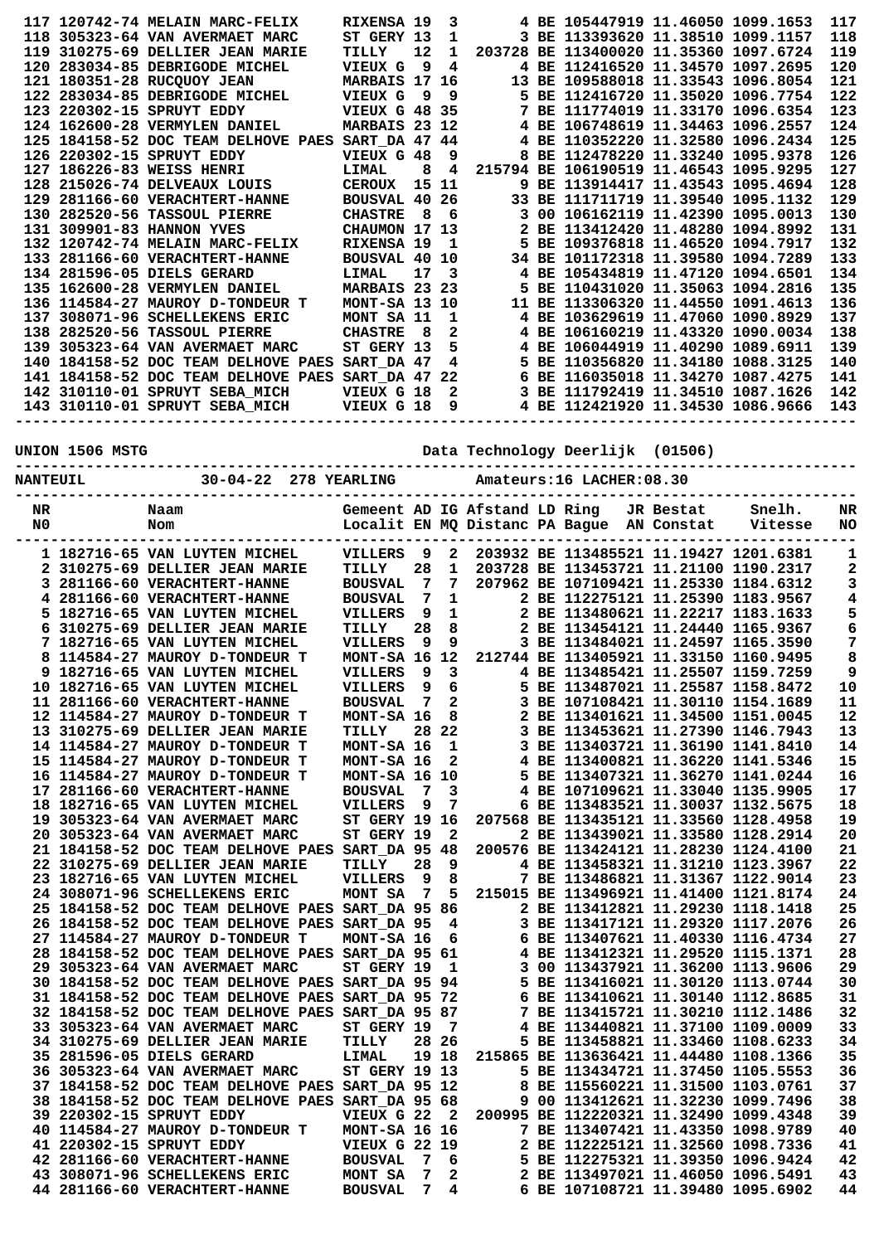|  | 117 120742-74 MELAIN MARC-FELIX     | RIXENSA 19           |                   | 3            |  | 4 BE 105447919 11.46050 1099.1653      |  | 117 |
|--|-------------------------------------|----------------------|-------------------|--------------|--|----------------------------------------|--|-----|
|  | 118 305323-64 VAN AVERMAET MARC     | ST GERY 13           |                   | 1            |  | 3 BE 113393620 11.38510 1099.1157      |  | 118 |
|  | 119 310275-69 DELLIER JEAN MARIE    | TILLY                | $12 \overline{ }$ | $\mathbf{1}$ |  | 203728 BE 113400020 11.35360 1097.6724 |  | 119 |
|  | 120 283034-85 DEBRIGODE MICHEL      | <b>VIEUX G</b>       | 9                 | 4            |  | 4 BE 112416520 11.34570 1097.2695      |  | 120 |
|  | 121 180351-28 RUCOUOY JEAN          | MARBAIS 17 16        |                   |              |  | 13 BE 109588018 11.33543 1096.8054     |  | 121 |
|  | 122 283034-85 DEBRIGODE MICHEL      | VIEUX G              | 9                 | -9           |  | 5 BE 112416720 11.35020 1096.7754      |  | 122 |
|  | 123 220302-15 SPRUYT EDDY           | <b>VIEUX G 48 35</b> |                   |              |  | 7 BE 111774019 11.33170 1096.6354      |  | 123 |
|  | 124 162600-28 VERMYLEN DANIEL       | MARBAIS 23 12        |                   |              |  | 4 BE 106748619 11.34463 1096.2557      |  | 124 |
|  | 125 184158-52 DOC TEAM DELHOVE PAES | SART DA 47 44        |                   |              |  | 4 BE 110352220 11.32580 1096.2434      |  | 125 |
|  | 126 220302-15 SPRUYT EDDY           | VIEUX G 48           |                   | 9            |  | 8 BE 112478220 11.33240 1095.9378      |  | 126 |
|  | 127 186226-83 WEISS HENRI           | LIMAL                | 8                 | 4            |  | 215794 BE 106190519 11.46543 1095.9295 |  | 127 |
|  | 128 215026-74 DELVEAUX LOUIS        | <b>CEROUX</b>        | 15 11             |              |  | 9 BE 113914417 11.43543 1095.4694      |  | 128 |
|  | 129 281166-60 VERACHTERT-HANNE      | BOUSVAL 40           |                   | 26           |  | 33 BE 111711719 11.39540 1095.1132     |  | 129 |
|  | 130 282520-56 TASSOUL PIERRE        | <b>CHASTRE</b>       | - 8               | -6           |  | 3 00 106162119 11.42390 1095.0013      |  | 130 |
|  | 131 309901-83 HANNON YVES           | CHAUMON 17 13        |                   |              |  | 2 BE 113412420 11.48280 1094.8992      |  | 131 |
|  | 132 120742-74 MELAIN MARC-FELIX     | RIXENSA 19           |                   | - 1          |  | 5 BE 109376818 11.46520 1094.7917      |  | 132 |
|  | 133 281166-60 VERACHTERT-HANNE      | <b>BOUSVAL 40 10</b> |                   |              |  | 34 BE 101172318 11.39580 1094.7289     |  | 133 |
|  | 134 281596-05 DIELS GERARD          | LIMAL                | 17                | - 3          |  | 4 BE 105434819 11.47120 1094.6501      |  | 134 |
|  | 135 162600-28 VERMYLEN DANIEL       | MARBAIS 23 23        |                   |              |  | 5 BE 110431020 11.35063 1094.2816      |  | 135 |
|  | 136 114584-27 MAUROY D-TONDEUR T    | <b>MONT-SA 13 10</b> |                   |              |  | 11 BE 113306320 11.44550 1091.4613     |  | 136 |
|  | 137 308071-96 SCHELLEKENS ERIC      | MONT SA 11           |                   | 1            |  | 4 BE 103629619 11.47060 1090.8929      |  | 137 |
|  | 138 282520-56 TASSOUL PIERRE        | <b>CHASTRE</b>       | - 8               | 2            |  | 4 BE 106160219 11.43320 1090.0034      |  | 138 |
|  | 139 305323-64 VAN AVERMAET MARC     | ST GERY 13           |                   | 5            |  | 4 BE 106044919 11.40290 1089.6911      |  | 139 |
|  | 140 184158-52 DOC TEAM DELHOVE PAES | SART DA 47           |                   | 4            |  | 5 BE 110356820 11.34180 1088.3125      |  | 140 |
|  | 141 184158-52 DOC TEAM DELHOVE PAES | SART DA 47           |                   | 22           |  | 6 BE 116035018 11.34270 1087.4275      |  | 141 |
|  | 142 310110-01 SPRUYT SEBA MICH      | VIEUX G 18           |                   | 2            |  | 3 BE 111792419 11.34510 1087.1626      |  | 142 |
|  | 143 310110-01 SPRUYT SEBA MICH      | VIEUX G 18           |                   | 9            |  | 4 BE 112421920 11.34530 1086.9666      |  | 143 |
|  |                                     |                      |                   |              |  |                                        |  |     |

**UNION 1506 MSTG Data Technology Deerlijk (01506)**

| NTE | . ה<br>'NG | Α. |
|-----|------------|----|

| NR<br>N0 | Naam<br>Nom                                                                      | ---------            |        |              | Gemeent AD IG Afstand LD Ring<br>Localit EN MQ Distanc PA Bague |      |  | JR Bestat<br>AN Constat | Snelh.<br>Vitesse                                                           | NR<br>NO |
|----------|----------------------------------------------------------------------------------|----------------------|--------|--------------|-----------------------------------------------------------------|------|--|-------------------------|-----------------------------------------------------------------------------|----------|
|          | 1 182716-65 VAN LUYTEN MICHEL                                                    | VILLERS              | 9      | $\mathbf{2}$ |                                                                 |      |  |                         | 203932 BE 113485521 11.19427 1201.6381                                      | 1        |
|          | 2 310275-69 DELLIER JEAN MARIE                                                   | TILLY                | 28     | 1            |                                                                 |      |  |                         | 203728 BE 113453721 11.21100 1190.2317                                      | 2        |
| 3        | 281166-60 VERACHTERT-HANNE                                                       | <b>BOUSVAL</b>       | 7      | 7            |                                                                 |      |  |                         | 207962 BE 107109421 11.25330 1184.6312                                      | З        |
|          | 4 281166-60 VERACHTERT-HANNE                                                     | <b>BOUSVAL</b>       | 7      | 1            |                                                                 |      |  |                         | 2 BE 112275121 11.25390 1183.9567                                           | 4        |
|          | 5 182716-65 VAN LUYTEN MICHEL                                                    | <b>VILLERS</b>       | 9      | 1            |                                                                 |      |  |                         | 2 BE 113480621 11.22217 1183.1633                                           | 5        |
| 6        | 310275-69 DELLIER JEAN MARIE                                                     | TILLY                | 28     | 8            |                                                                 |      |  |                         | 2 BE 113454121 11.24440 1165.9367                                           | 6        |
|          | 7 182716-65 VAN LUYTEN MICHEL                                                    | <b>VILLERS</b>       | 9      | 9            |                                                                 |      |  |                         | 3 BE 113484021 11.24597 1165.3590                                           | 7        |
| 8        | 114584-27 MAUROY D-TONDEUR T                                                     | MONT-SA 16           |        | 12           |                                                                 |      |  |                         | 212744 BE 113405921 11.33150 1160.9495                                      | 8        |
|          | 9 182716-65 VAN LUYTEN MICHEL                                                    | <b>VILLERS</b>       | 9      | 3            |                                                                 |      |  |                         | 4 BE 113485421 11.25507 1159.7259                                           | 9        |
|          | 10 182716-65 VAN LUYTEN MICHEL                                                   | <b>VILLERS</b>       | 9      | 6            |                                                                 |      |  |                         | 5 BE 113487021 11.25587 1158.8472                                           | $10$     |
|          | 11 281166-60 VERACHTERT-HANNE                                                    | <b>BOUSVAL</b>       | 7      | $\mathbf{2}$ |                                                                 |      |  |                         | 3 BE 107108421 11.30110 1154.1689                                           | 11       |
|          | 12 114584-27 MAUROY D-TONDEUR T                                                  | MONT-SA 16           |        | 8            | 2                                                               |      |  |                         | BE 113401621 11.34500 1151.0045                                             | 12       |
|          | 13 310275-69 DELLIER JEAN MARIE                                                  | TILLY                | 28.    | 22           |                                                                 |      |  |                         | 3 BE 113453621 11.27390 1146.7943                                           | 13       |
|          | 14 114584-27 MAUROY D-TONDEUR T                                                  | MONT-SA 16           |        | $\mathbf 1$  |                                                                 |      |  |                         | 3 BE 113403721 11.36190 1141.8410                                           | 14       |
|          | 15 114584-27 MAUROY D-TONDEUR T                                                  | MONT-SA 16           |        | 2            |                                                                 |      |  |                         | 4 BE 113400821 11.36220 1141.5346                                           | 15       |
|          | 16 114584-27 MAUROY D-TONDEUR T                                                  | MONT-SA 16           |        | 10           |                                                                 |      |  |                         | 5 BE 113407321 11.36270 1141.0244                                           | 16       |
|          | 17 281166-60 VERACHTERT-HANNE                                                    | <b>BOUSVAL</b>       | 7<br>9 | 3<br>7       |                                                                 |      |  |                         | 4 BE 107109621 11.33040 1135.9905                                           | 17       |
|          | 18 182716-65 VAN LUYTEN MICHEL                                                   | VILLERS              |        |              |                                                                 |      |  |                         | 6 BE 113483521 11.30037 1132.5675                                           | 18<br>19 |
|          | 19 305323-64 VAN AVERMAET MARC                                                   | ST GERY 19 16        |        | $\mathbf{2}$ |                                                                 |      |  |                         | 207568 BE 113435121 11.33560 1128.4958                                      | 20       |
|          | 20 305323-64 VAN AVERMAET MARC                                                   | ST GERY 19           |        | -48          |                                                                 |      |  |                         | 2 BE 113439021 11.33580 1128.2914                                           | 21       |
|          | 21 184158-52 DOC TEAM DELHOVE PAES SART DA 95<br>22 310275-69 DELLIER JEAN MARIE | TILLY                | 28     | 9            |                                                                 |      |  |                         | 200576 BE 113424121 11.28230 1124.4100<br>4 BE 113458321 11.31210 1123.3967 | 22       |
|          | 23 182716-65 VAN LUYTEN MICHEL                                                   | <b>VILLERS</b>       | 9      | 8            |                                                                 |      |  |                         | 7 BE 113486821 11.31367 1122.9014                                           | 23       |
|          | 24 308071-96 SCHELLEKENS ERIC                                                    | MONT SA              | 7      | 5            |                                                                 |      |  |                         | 215015 BE 113496921 11.41400 1121.8174                                      | 24       |
|          | 25 184158-52 DOC TEAM DELHOVE PAES                                               | <b>SART_DA 95 86</b> |        |              |                                                                 |      |  |                         | 2 BE 113412821 11.29230 1118.1418                                           | 25       |
|          | 26 184158-52 DOC TEAM DELHOVE PAES                                               | SART DA 95           |        | 4            |                                                                 |      |  |                         | 3 BE 113417121 11.29320 1117.2076                                           | 26       |
|          | 27 114584-27 MAUROY D-TONDEUR T                                                  | MONT-SA 16           |        | 6            |                                                                 |      |  |                         | 6 BE 113407621 11.40330 1116.4734                                           | 27       |
|          | 28 184158-52 DOC TEAM DELHOVE PAES                                               | SART DA 95           |        | -61          |                                                                 |      |  |                         | 4 BE 113412321 11.29520 1115.1371                                           | 28       |
|          | 29 305323-64 VAN AVERMAET MARC                                                   | <b>ST GERY 19</b>    |        | 1            | 3.                                                              |      |  |                         | 00 113437921 11.36200 1113.9606                                             | 29       |
|          | 30 184158-52 DOC TEAM DELHOVE PAES                                               | SART DA 95 94        |        |              |                                                                 |      |  |                         | 5 BE 113416021 11.30120 1113.0744                                           | 30       |
|          | 31 184158-52 DOC TEAM DELHOVE PAES                                               | SART_DA 95 72        |        |              |                                                                 |      |  |                         | 6 BE 113410621 11.30140 1112.8685                                           | 31       |
|          | 32 184158-52 DOC TEAM DELHOVE PAES                                               | <b>SART_DA 95 87</b> |        |              |                                                                 |      |  |                         | 7 BE 113415721 11.30210 1112.1486                                           | 32       |
|          | 33 305323-64 VAN AVERMAET MARC                                                   | ST GERY 19           |        | 7            |                                                                 |      |  |                         | 4 BE 113440821 11.37100 1109.0009                                           | 33       |
|          | 34 310275-69 DELLIER JEAN MARIE                                                  | TILLY                |        | 28 26        |                                                                 |      |  |                         | 5 BE 113458821 11.33460 1108.6233                                           | 34       |
|          | 35 281596-05 DIELS GERARD                                                        | LIMAL                |        | 19 18        |                                                                 |      |  |                         | 215865 BE 113636421 11.44480 1108.1366                                      | 35       |
|          | 36 305323-64 VAN AVERMAET MARC                                                   | <b>ST GERY 19 13</b> |        |              |                                                                 |      |  |                         | 5 BE 113434721 11.37450 1105.5553                                           | 36       |
|          | 37 184158-52 DOC TEAM DELHOVE PAES SART DA 95 12                                 |                      |        |              |                                                                 |      |  |                         | 8 BE 115560221 11.31500 1103.0761                                           | 37       |
|          | 38 184158-52 DOC TEAM DELHOVE PAES SART DA 95                                    |                      |        | -68          |                                                                 |      |  |                         | 9 00 113412621 11.32230 1099.7496                                           | 38       |
|          | 39 220302-15 SPRUYT EDDY                                                         | VIEUX G 22           |        | $\mathbf{2}$ |                                                                 |      |  |                         | 200995 BE 112220321 11.32490 1099.4348                                      | 39       |
|          | 40 114584-27 MAUROY D-TONDEUR T                                                  | MONT-SA 16 16        |        |              |                                                                 |      |  |                         | 7 BE 113407421 11.43350 1098.9789                                           | 40       |
|          | 41 220302-15 SPRUYT EDDY                                                         | <b>VIEUX G 22 19</b> |        |              |                                                                 | 2 BE |  |                         | 112225121 11.32560 1098.7336                                                | 41       |
|          | 42 281166-60 VERACHTERT-HANNE                                                    | <b>BOUSVAL</b>       | 7      | 6            |                                                                 |      |  |                         | 5 BE 112275321 11.39350 1096.9424                                           | 42       |
| 43       | 308071-96 SCHELLEKENS ERIC                                                       | MONT SA              | 7      | 2            |                                                                 |      |  |                         | 2 BE 113497021 11.46050 1096.5491                                           | 43       |
|          | 44 281166-60 VERACHTERT-HANNE                                                    | <b>BOUSVAL</b>       | 7      | 4            |                                                                 |      |  |                         | 6 BE 107108721 11.39480 1095.6902                                           | 44       |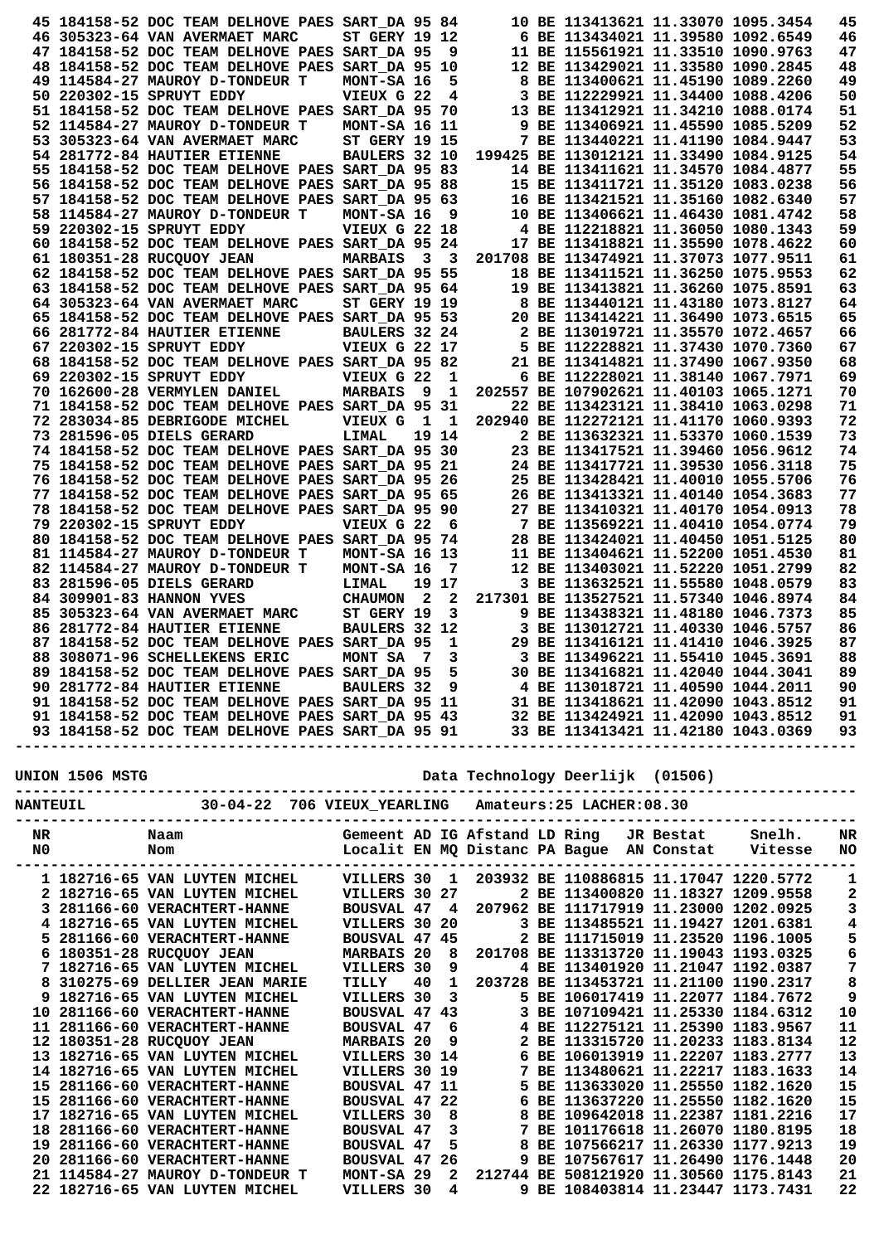|  | 45 184158-52 DOC TEAM DELHOVE PAES SART_DA 95 84                                                                                                                                                                                       |                             |                                  |              |  | 10 BE 113413621 11.33070 1095.3454                                           |  | 45                      |
|--|----------------------------------------------------------------------------------------------------------------------------------------------------------------------------------------------------------------------------------------|-----------------------------|----------------------------------|--------------|--|------------------------------------------------------------------------------|--|-------------------------|
|  | 46 305323-64 VAN AVERMAET MARC                                                                                                                                                                                                         | <b>ST GERY 19 12</b>        |                                  |              |  | 6 BE 113434021 11.39580 1092.6549                                            |  | 46<br>47                |
|  | 47 184158-52 DOC TEAM DELHOVE PAES SART DA 95<br>48 184158-52 DOC TEAM DELHOVE PAES                                                                                                                                                    | <b>SART DA 95 10</b>        |                                  | و _          |  | 11 BE 115561921 11.33510 1090.9763<br>12 BE 113429021 11.33580 1090.2845     |  | 48                      |
|  | 49 114584-27 MAUROY D-TONDEUR T                                                                                                                                                                                                        | MONT-SA 16                  |                                  | 5            |  | 8 BE 113400621 11.45190 1089.2260                                            |  | 49                      |
|  | 50 220302-15 SPRUYT EDDY                                                                                                                                                                                                               | VIEUX G 22                  |                                  | 4            |  | 3 BE 112229921 11.34400 1088.4206                                            |  | 50                      |
|  | 51 184158-52 DOC TEAM DELHOVE PAES SART DA 95 70                                                                                                                                                                                       |                             |                                  |              |  | 13 BE 113412921 11.34210 1088.0174                                           |  | 51                      |
|  | 52 114584-27 MAUROY D-TONDEUR T                                                                                                                                                                                                        | MONT-SA 16 11               |                                  |              |  | 9 BE 113406921 11.45590 1085.5209                                            |  | 52                      |
|  | 53 305323-64 VAN AVERMAET MARC                                                                                                                                                                                                         | <b>ST GERY 19 15</b>        |                                  |              |  | 7 BE 113440221 11.41190 1084.9447                                            |  | 53                      |
|  | 54 281772-84 HAUTIER ETIENNE<br>55 184158-52 DOC TEAM DELHOVE PAES SART DA 95 83                                                                                                                                                       | BAULERS 32 10               |                                  |              |  | 199425 BE 113012121 11.33490 1084.9125<br>14 BE 113411621 11.34570 1084.4877 |  | 54<br>55                |
|  | 56 184158-52 DOC TEAM DELHOVE PAES SART DA 95 88                                                                                                                                                                                       |                             |                                  |              |  | 15 BE 113411721 11.35120 1083.0238                                           |  | 56                      |
|  | 57 184158-52 DOC TEAM DELHOVE PAES SART DA 95 63                                                                                                                                                                                       |                             |                                  |              |  | 16 BE 113421521 11.35160 1082.6340                                           |  | 57                      |
|  | 58 114584-27 MAUROY D-TONDEUR T                                                                                                                                                                                                        | MONT-SA 16                  |                                  | - 9          |  | 10 BE 113406621 11.46430 1081.4742                                           |  | 58                      |
|  | 59 220302-15 SPRUYT EDDY                                                                                                                                                                                                               | VIEUX G 22 18               |                                  |              |  | 4 BE 112218821 11.36050 1080.1343                                            |  | 59                      |
|  | 60 184158-52 DOC TEAM DELHOVE PAES SART_DA 95 24                                                                                                                                                                                       |                             |                                  |              |  | 17 BE 113418821 11.35590 1078.4622                                           |  | 60                      |
|  | 61 180351-28 RUCQUOY JEAN                                                                                                                                                                                                              | <b>MARBAIS</b>              | $\overline{\mathbf{3}}$          | $_{3}$       |  | 201708 BE 113474921 11.37073 1077.9511                                       |  | 61                      |
|  | 62 184158-52 DOC TEAM DELHOVE PAES SART DA 95 55<br>63 184158-52 DOC TEAM DELHOVE PAES SART DA 95 64                                                                                                                                   |                             |                                  |              |  | 18 BE 113411521 11.36250 1075.9553<br>19 BE 113413821 11.36260 1075.8591     |  | 62<br>63                |
|  | 64 305323-64 VAN AVERMAET MARC                                                                                                                                                                                                         | <b>ST GERY 19 19</b>        |                                  |              |  | 8 BE 113440121 11.43180 1073.8127                                            |  | 64                      |
|  | 65 184158-52 DOC TEAM DELHOVE PAES SART DA 95 53                                                                                                                                                                                       |                             |                                  |              |  | 20 BE 113414221 11.36490 1073.6515                                           |  | 65                      |
|  | 66 281772-84 HAUTIER ETIENNE                                                                                                                                                                                                           | BAULERS 32 24               |                                  |              |  | 2 BE 113019721 11.35570 1072.4657                                            |  | 66                      |
|  | 67 220302-15 SPRUYT EDDY                                                                                                                                                                                                               | <b>VIEUX G 22 17</b>        |                                  |              |  | 5 BE 112228821 11.37430 1070.7360                                            |  | 67                      |
|  | 68 184158-52 DOC TEAM DELHOVE PAES SART DA 95 82                                                                                                                                                                                       |                             |                                  |              |  | 21 BE 113414821 11.37490 1067.9350                                           |  | 68                      |
|  | 69 220302-15 SPRUYT EDDY                                                                                                                                                                                                               | VIEUX G 22                  |                                  | 1            |  | 6 BE 112228021 11.38140 1067.7971                                            |  | 69                      |
|  | 70 162600-28 VERMYLEN DANIEL                                                                                                                                                                                                           | <b>MARBAIS</b>              | - 9                              | - 1          |  | 202557 BE 107902621 11.40103 1065.1271                                       |  | 70                      |
|  | 71 184158-52 DOC TEAM DELHOVE PAES SART_DA 95 31<br>72 283034-85 DEBRIGODE MICHEL                                                                                                                                                      | VIEUX G                     | $\mathbf{1}$                     | - 1          |  | 22 BE 113423121 11.38410 1063.0298<br>202940 BE 112272121 11.41170 1060.9393 |  | 71<br>72                |
|  | 73 281596-05 DIELS GERARD                                                                                                                                                                                                              | LIMAL                       |                                  | 19 14        |  | 2 BE 113632321 11.53370 1060.1539                                            |  | 73                      |
|  | 74 184158-52 DOC TEAM DELHOVE PAES SART DA 95 30                                                                                                                                                                                       |                             |                                  |              |  | 23 BE 113417521 11.39460 1056.9612                                           |  | 74                      |
|  | 75 184158-52 DOC TEAM DELHOVE PAES SART DA 95 21                                                                                                                                                                                       |                             |                                  |              |  | 24 BE 113417721 11.39530 1056.3118                                           |  | 75                      |
|  | 76 184158-52 DOC TEAM DELHOVE PAES SART DA 95 26                                                                                                                                                                                       |                             |                                  |              |  | 25 BE 113428421 11.40010 1055.5706                                           |  | 76                      |
|  | 77 184158-52 DOC TEAM DELHOVE PAES SART_DA 95 65                                                                                                                                                                                       |                             |                                  |              |  | 26 BE 113413321 11.40140 1054.3683                                           |  | 77                      |
|  | 78 184158-52 DOC TEAM DELHOVE PAES SART_DA 95 90                                                                                                                                                                                       |                             |                                  |              |  | 27 BE 113410321 11.40170 1054.0913                                           |  | 78                      |
|  | 79 220302-15 SPRUYT EDDY                                                                                                                                                                                                               | VIEUX G 22 6                |                                  |              |  | 7 BE 113569221 11.40410 1054.0774                                            |  | 79                      |
|  | 80 184158-52 DOC TEAM DELHOVE PAES SART DA 95 74                                                                                                                                                                                       |                             |                                  |              |  | 28 BE 113424021 11.40450 1051.5125                                           |  | 80<br>81                |
|  | 81 114584-27 MAUROY D-TONDEUR T<br>82 114584-27 MAUROY D-TONDEUR T                                                                                                                                                                     | MONT-SA 16 13<br>MONT-SA 16 |                                  |              |  | 11 BE 113404621 11.52200 1051.4530                                           |  | 82                      |
|  |                                                                                                                                                                                                                                        |                             |                                  |              |  |                                                                              |  |                         |
|  |                                                                                                                                                                                                                                        |                             |                                  | - 7          |  | 12 BE 113403021 11.52220 1051.2799                                           |  |                         |
|  | 83 281596-05 DIELS GERARD<br>84 309901-83 HANNON YVES                                                                                                                                                                                  | LIMAL<br><b>CHAUMON</b>     | 19 17<br>$\overline{\mathbf{2}}$ | $\mathbf{2}$ |  | 3 BE 113632521 11.55580 1048.0579<br>217301 BE 113527521 11.57340 1046.8974  |  | 83<br>84                |
|  | 85 305323-64 VAN AVERMAET MARC                                                                                                                                                                                                         | ST GERY 19                  |                                  | 3            |  | 9 BE 113438321 11.48180 1046.7373                                            |  | 85                      |
|  | 86 281772-84 HAUTIER ETIENNE                                                                                                                                                                                                           | BAULERS 32 12               |                                  |              |  | 3 BE 113012721 11.40330 1046.5757                                            |  | 86                      |
|  | 87 184158-52 DOC TEAM DELHOVE PAES SART DA 95                                                                                                                                                                                          |                             |                                  | 1            |  | 29 BE 113416121 11.41410 1046.3925                                           |  | 87                      |
|  | 88 308071-96 SCHELLEKENS ERIC                                                                                                                                                                                                          | MONT SA                     | $\overline{7}$                   | 3            |  | 3 BE 113496221 11.55410 1045.3691                                            |  | 88                      |
|  |                                                                                                                                                                                                                                        |                             |                                  |              |  |                                                                              |  |                         |
|  |                                                                                                                                                                                                                                        |                             |                                  |              |  |                                                                              |  |                         |
|  |                                                                                                                                                                                                                                        |                             |                                  |              |  |                                                                              |  |                         |
|  | 89 184158-52 DOC TEAM DELHOVE PAES SART_DA 95<br>90 281772-84 HAUTIER ETIENNE BAULERS 32 9<br>91 184158-52 DOC TEAM DELHOVE PAES SART_DA 95 11<br>91 184158-52 DOC TEAM DELHOVE PAES SART_DA 95 11<br>91 184158-52 DOC TEAM DELHOVE PA |                             |                                  |              |  |                                                                              |  |                         |
|  |                                                                                                                                                                                                                                        |                             |                                  |              |  |                                                                              |  |                         |
|  |                                                                                                                                                                                                                                        |                             |                                  |              |  |                                                                              |  |                         |
|  |                                                                                                                                                                                                                                        |                             |                                  |              |  |                                                                              |  |                         |
|  |                                                                                                                                                                                                                                        |                             |                                  |              |  |                                                                              |  |                         |
|  |                                                                                                                                                                                                                                        |                             |                                  |              |  |                                                                              |  | 1                       |
|  |                                                                                                                                                                                                                                        |                             |                                  |              |  |                                                                              |  | $\mathbf{2}$            |
|  |                                                                                                                                                                                                                                        |                             |                                  |              |  |                                                                              |  | $\mathbf 3$             |
|  |                                                                                                                                                                                                                                        |                             |                                  |              |  |                                                                              |  | $\overline{\mathbf{4}}$ |
|  |                                                                                                                                                                                                                                        |                             |                                  |              |  |                                                                              |  |                         |
|  |                                                                                                                                                                                                                                        |                             |                                  |              |  |                                                                              |  | $\frac{5}{6}$           |
|  |                                                                                                                                                                                                                                        |                             |                                  |              |  |                                                                              |  | $\overline{7}$<br>8     |
|  |                                                                                                                                                                                                                                        |                             |                                  |              |  |                                                                              |  | 9                       |
|  |                                                                                                                                                                                                                                        |                             |                                  |              |  |                                                                              |  | 10                      |
|  |                                                                                                                                                                                                                                        |                             |                                  |              |  |                                                                              |  | 11                      |
|  |                                                                                                                                                                                                                                        |                             |                                  |              |  |                                                                              |  | 12                      |
|  |                                                                                                                                                                                                                                        |                             |                                  |              |  |                                                                              |  | 13                      |
|  |                                                                                                                                                                                                                                        |                             |                                  |              |  |                                                                              |  | 14                      |
|  |                                                                                                                                                                                                                                        |                             |                                  |              |  |                                                                              |  | 15                      |
|  |                                                                                                                                                                                                                                        |                             |                                  |              |  |                                                                              |  | 15<br>17                |
|  |                                                                                                                                                                                                                                        |                             |                                  |              |  |                                                                              |  | 18                      |
|  |                                                                                                                                                                                                                                        |                             |                                  |              |  |                                                                              |  | 19                      |
|  |                                                                                                                                                                                                                                        |                             |                                  |              |  |                                                                              |  | 20                      |
|  | 21 114584-27 MAUROY D-TONDEUR T MONT-SA 29 2 212744 BE 508121920 11.30560 1175.8143<br>22 182716-65 VAN LUYTEN MICHEL VILLERS 30 4 9 BE 108403814 11.23447 1173.7431                                                                   |                             |                                  |              |  |                                                                              |  | 21<br>22                |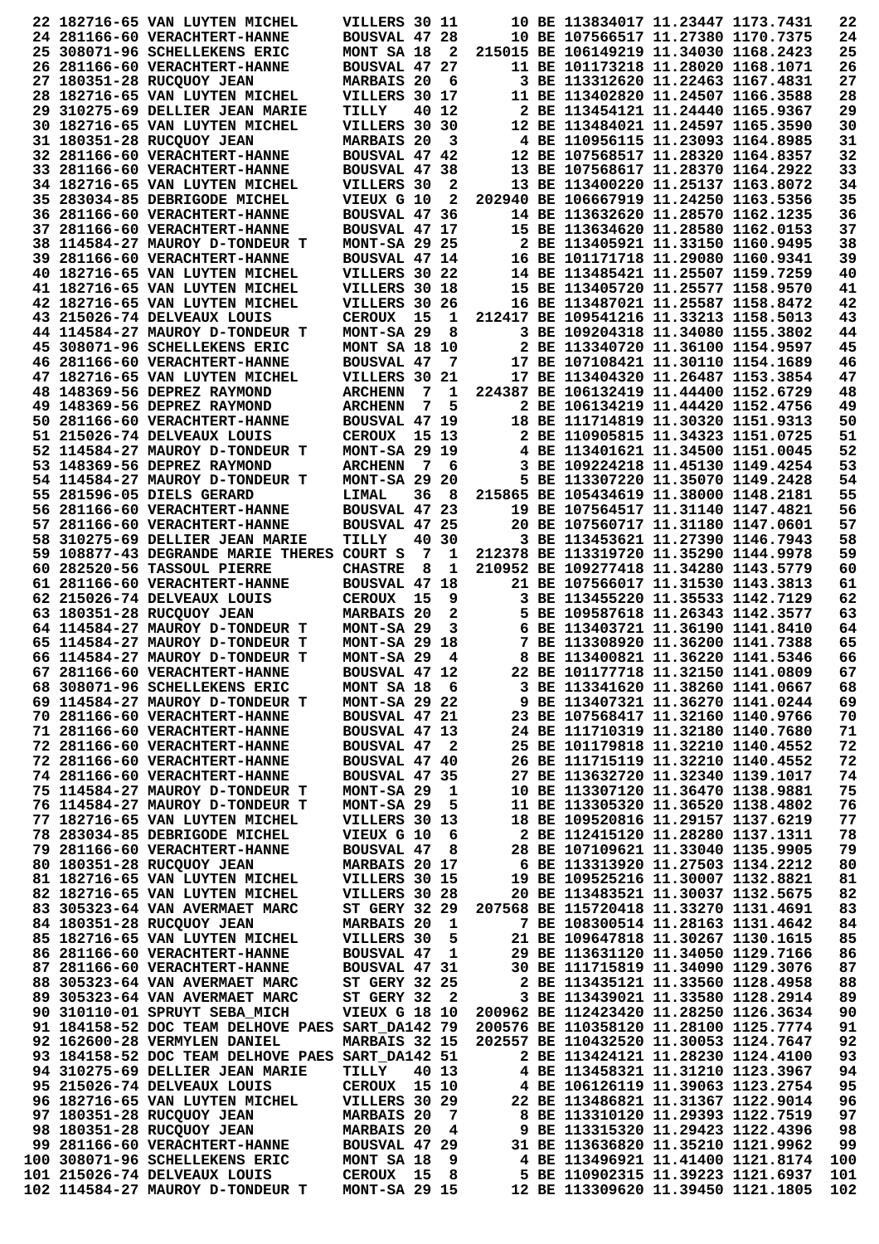|  | 22 182716-65 VAN LUYTEN MICHEL                                                          | VILLERS 30 11                                                                               |       |                         |  | 10 BE 113834017 11.23447 1173.7431                                      |  | 22  |
|--|-----------------------------------------------------------------------------------------|---------------------------------------------------------------------------------------------|-------|-------------------------|--|-------------------------------------------------------------------------|--|-----|
|  | 24 281166-60 VERACHTERT-HANNE                                                           | BOUSVAL 47 28                                                                               |       |                         |  | 10 BE 107566517 11.27380 1170.7375                                      |  | 24  |
|  | 25 308071-96 SCHELLEKENS ERIC                                                           | MONT SA 18                                                                                  |       | $\mathbf{2}$            |  | 215015 BE 106149219 11.34030 1168.2423                                  |  | 25  |
|  | 26 281166-60 VERACHTERT-HANNE                                                           | BOUSVAL 47 27                                                                               |       |                         |  | 11 BE 101173218 11.28020 1168.1071                                      |  | 26  |
|  | 27 180351-28 RUCQUOY JEAN                                                               | <b>MARBAIS 20</b>                                                                           |       | - 6                     |  | 3 BE 113312620 11.22463 1167.4831                                       |  | 27  |
|  |                                                                                         |                                                                                             |       |                         |  |                                                                         |  |     |
|  | 28 182716-65 VAN LUYTEN MICHEL                                                          | VILLERS 30 17                                                                               |       |                         |  | 11 BE 113402820 11.24507 1166.3588                                      |  | 28  |
|  | 29 310275-69 DELLIER JEAN MARIE                                                         | TILLY                                                                                       |       | 40 12                   |  | 2 BE 113454121 11.24440 1165.9367                                       |  | 29  |
|  | 30 182716-65 VAN LUYTEN MICHEL                                                          | VILLERS 30 30                                                                               |       |                         |  | 12 BE 113484021 11.24597 1165.3590                                      |  | 30  |
|  | 31 180351-28 RUCQUOY JEAN                                                               | MARBAIS 20                                                                                  |       | 3                       |  | 4 BE 110956115 11.23093 1164.8985                                       |  | 31  |
|  |                                                                                         |                                                                                             |       |                         |  |                                                                         |  |     |
|  | 32 281166-60 VERACHTERT-HANNE                                                           | BOUSVAL 47 42                                                                               |       |                         |  | 12 BE 107568517 11.28320 1164.8357                                      |  | 32  |
|  | 33 281166-60 VERACHTERT-HANNE                                                           | BOUSVAL 47 38                                                                               |       |                         |  | 13 BE 107568617 11.28370 1164.2922                                      |  | 33  |
|  | 34 182716-65 VAN LUYTEN MICHEL                                                          | VILLERS 30                                                                                  |       | $\mathbf{2}$            |  | 13 BE 113400220 11.25137 1163.8072                                      |  | 34  |
|  | 35 283034-85 DEBRIGODE MICHEL                                                           | VIEUX G 10                                                                                  |       | 2                       |  | 202940 BE 106667919 11.24250 1163.5356                                  |  | 35  |
|  |                                                                                         |                                                                                             |       |                         |  |                                                                         |  |     |
|  | 36 281166-60 VERACHTERT-HANNE                                                           | BOUSVAL 47 36                                                                               |       |                         |  | 14 BE 113632620 11.28570 1162.1235                                      |  | 36  |
|  | 37 281166-60 VERACHTERT-HANNE                                                           | BOUSVAL 47 17                                                                               |       |                         |  | 15 BE 113634620 11.28580 1162.0153                                      |  | 37  |
|  | 38 114584-27 MAUROY D-TONDEUR T                                                         | <b>MONT-SA 29 25</b>                                                                        |       |                         |  | 2 BE 113405921 11.33150 1160.9495                                       |  | 38  |
|  | 39 281166-60 VERACHTERT-HANNE                                                           | BOUSVAL 47 14                                                                               |       |                         |  | 16 BE 101171718 11.29080 1160.9341                                      |  | 39  |
|  |                                                                                         |                                                                                             |       |                         |  |                                                                         |  | 40  |
|  | 40 182716-65 VAN LUYTEN MICHEL                                                          | VILLERS 30 22                                                                               |       |                         |  | 14 BE 113485421 11.25507 1159.7259                                      |  |     |
|  | 41 182716-65 VAN LUYTEN MICHEL                                                          | VILLERS 30 18                                                                               |       |                         |  | 15 BE 113405720 11.25577 1158.9570                                      |  | 41  |
|  | 42 182716-65 VAN LUYTEN MICHEL                                                          | VILLERS 30 26                                                                               |       |                         |  | 16 BE 113487021 11.25587 1158.8472                                      |  | 42  |
|  | 43 215026-74 DELVEAUX LOUIS                                                             | <b>CEROUX</b>                                                                               | 15    | 1                       |  | 212417 BE 109541216 11.33213 1158.5013                                  |  | 43  |
|  | 44 114584-27 MAUROY D-TONDEUR T                                                         | MONT-SA 29                                                                                  |       | 8                       |  | 3 BE 109204318 11.34080 1155.3802                                       |  | 44  |
|  |                                                                                         |                                                                                             |       |                         |  |                                                                         |  |     |
|  | 45 308071-96 SCHELLEKENS ERIC                                                           | MONT SA 18 10                                                                               |       |                         |  | 2 BE 113340720 11.36100 1154.9597                                       |  | 45  |
|  | 46 281166-60 VERACHTERT-HANNE                                                           | BOUSVAL 47                                                                                  |       | 7                       |  | 17 BE 107108421 11.30110 1154.1689                                      |  | 46  |
|  | 47 182716-65 VAN LUYTEN MICHEL                                                          | VILLERS 30 21                                                                               |       |                         |  | 17 BE 113404320 11.26487 1153.3854                                      |  | 47  |
|  | 48 148369-56 DEPREZ RAYMOND                                                             | <b>ARCHENN</b>                                                                              | 7     | 1                       |  | 224387 BE 106132419 11.44400 1152.6729                                  |  | 48  |
|  |                                                                                         |                                                                                             |       |                         |  |                                                                         |  |     |
|  | 49 148369-56 DEPREZ RAYMOND                                                             | <b>ARCHENN</b>                                                                              | 7     | 5                       |  | 2 BE 106134219 11.44420 1152.4756                                       |  | 49  |
|  | 50 281166-60 VERACHTERT-HANNE                                                           | BOUSVAL 47 19                                                                               |       |                         |  | 18 BE 111714819 11.30320 1151.9313                                      |  | 50  |
|  | 51 215026-74 DELVEAUX LOUIS                                                             | CEROUX                                                                                      | 15 13 |                         |  | 2 BE 110905815 11.34323 1151.0725                                       |  | 51  |
|  |                                                                                         | <b>MONT-SA 29 19</b>                                                                        |       |                         |  | 4 BE 113401621 11.34500 1151.0045                                       |  | 52  |
|  | 52 114584-27 MAUROY D-TONDEUR T                                                         |                                                                                             |       |                         |  |                                                                         |  |     |
|  | 53 148369-56 DEPREZ RAYMOND                                                             | <b>ARCHENN</b>                                                                              |       | 76                      |  | 3 BE 109224218 11.45130 1149.4254                                       |  | 53  |
|  | 54 114584-27 MAUROY D-TONDEUR T                                                         | $MONT-SA$ 29 20                                                                             |       |                         |  | 5 BE 113307220 11.35070 1149.2428                                       |  | 54  |
|  | 55 281596-05 DIELS GERARD                                                               | LIMAL                                                                                       | 36    | - 8                     |  | 215865 BE 105434619 11.38000 1148.2181                                  |  | 55  |
|  | 56 281166-60 VERACHTERT-HANNE                                                           | BOUSVAL 47 23                                                                               |       |                         |  | 19 BE 107564517 11.31140 1147.4821                                      |  | 56  |
|  |                                                                                         |                                                                                             |       |                         |  |                                                                         |  |     |
|  | 57 281166-60 VERACHTERT-HANNE                                                           | BOUSVAL 47 25                                                                               |       |                         |  | 20 BE 107560717 11.31180 1147.0601                                      |  | 57  |
|  | 58 310275-69 DELLIER JEAN MARIE                                                         | TILLY                                                                                       |       | 40 30                   |  | 3 BE 113453621 11.27390 1146.7943                                       |  | 58  |
|  | 59 108877-43 DEGRANDE MARIE THERES                                                      | COURT S                                                                                     | 7     | 1                       |  | 212378 BE 113319720 11.35290 1144.9978                                  |  | 59  |
|  | 60 282520-56 TASSOUL PIERRE                                                             | <b>CHASTRE</b>                                                                              | 8     | 1                       |  | 210952 BE 109277418 11.34280 1143.5779                                  |  | 60  |
|  |                                                                                         |                                                                                             |       |                         |  |                                                                         |  |     |
|  | 61 281166-60 VERACHTERT-HANNE                                                           | <b>BOUSVAL 47 18</b>                                                                        |       |                         |  | 21 BE 107566017 11.31530 1143.3813                                      |  | 61  |
|  | 62 215026-74 DELVEAUX LOUIS                                                             | <b>CEROUX</b>                                                                               | 15    | 9                       |  | 3 BE 113455220 11.35533 1142.7129                                       |  | 62  |
|  |                                                                                         |                                                                                             |       |                         |  |                                                                         |  |     |
|  |                                                                                         |                                                                                             |       |                         |  |                                                                         |  |     |
|  | 63 180351-28 RUCQUOY JEAN                                                               | <b>MARBAIS 20</b>                                                                           |       | 2                       |  | 5 BE 109587618 11.26343 1142.3577                                       |  | 63  |
|  | 64 114584-27 MAUROY D-TONDEUR T                                                         | MONT-SA 29                                                                                  |       | 3                       |  | 6 BE 113403721 11.36190 1141.8410                                       |  | 64  |
|  | 65 114584-27 MAUROY D-TONDEUR T                                                         | MONT-SA 29 18                                                                               |       |                         |  | 7 BE 113308920 11.36200 1141.7388                                       |  | 65  |
|  | 66 114584-27 MAUROY D-TONDEUR T                                                         | MONT-SA 29                                                                                  |       | 4                       |  | 8 BE 113400821 11.36220 1141.5346                                       |  | 66  |
|  |                                                                                         |                                                                                             |       |                         |  |                                                                         |  |     |
|  | 67 281166-60 VERACHTERT-HANNE                                                           | BOUSVAL 47 12                                                                               |       |                         |  | 22 BE 101177718 11.32150 1141.0809                                      |  | 67  |
|  | 68 308071-96 SCHELLEKENS ERIC                                                           | MONT SA 18 6                                                                                |       |                         |  | 3 BE 113341620 11.38260 1141.0667                                       |  | 68  |
|  | 69 114584-27 MAUROY D-TONDEUR T                                                         | $MONT-SA$ 29 22                                                                             |       |                         |  | 9 BE 113407321 11.36270 1141.0244                                       |  | 69  |
|  | 70 281166-60 VERACHTERT-HANNE                                                           | BOUSVAL 47 21                                                                               |       |                         |  | 23 BE 107568417 11.32160 1140.9766                                      |  | 70  |
|  | 71 281166-60 VERACHTERT-HANNE                                                           | BOUSVAL 47 13                                                                               |       |                         |  | 24 BE 111710319 11.32180 1140.7680                                      |  | 71  |
|  |                                                                                         |                                                                                             |       |                         |  |                                                                         |  |     |
|  | 72 281166-60 VERACHTERT-HANNE                                                           | BOUSVAL 47 2                                                                                |       |                         |  | 25 BE 101179818 11.32210 1140.4552                                      |  | 72  |
|  | 72 281166-60 VERACHTERT-HANNE                                                           | BOUSVAL 47 40                                                                               |       |                         |  | 26 BE 111715119 11.32210 1140.4552                                      |  | 72  |
|  | 74 281166-60 VERACHTERT-HANNE                                                           | BOUSVAL 47 35                                                                               |       |                         |  | 27 BE 113632720 11.32340 1139.1017                                      |  | 74  |
|  | 75 114584-27 MAUROY D-TONDEUR T                                                         | MONT-SA 29                                                                                  |       | $\mathbf{1}$            |  | 10 BE 113307120 11.36470 1138.9881                                      |  | 75  |
|  | 76 114584-27 MAUROY D-TONDEUR T                                                         | MONT-SA 29                                                                                  |       | 5                       |  |                                                                         |  |     |
|  |                                                                                         |                                                                                             |       |                         |  | 11 BE 113305320 11.36520 1138.4802                                      |  | 76  |
|  | 77 182716-65 VAN LUYTEN MICHEL                                                          | VILLERS 30 13                                                                               |       |                         |  | 18 BE 109520816 11.29157 1137.6219                                      |  | 77  |
|  | 78 283034-85 DEBRIGODE MICHEL                                                           | VIEUX G 10 6                                                                                |       |                         |  | 2 BE 112415120 11.28280 1137.1311                                       |  | 78  |
|  | 79 281166-60 VERACHTERT-HANNE                                                           | <b>BOUSVAL 47</b>                                                                           |       | 8                       |  | 28 BE 107109621 11.33040 1135.9905                                      |  | 79  |
|  | 80 180351-28 RUCQUOY JEAN                                                               | MARBAIS 20 17                                                                               |       |                         |  | 6 BE 113313920 11.27503 1134.2212                                       |  | 80  |
|  |                                                                                         |                                                                                             |       |                         |  |                                                                         |  |     |
|  | 81 182716-65 VAN LUYTEN MICHEL                                                          | VILLERS 30 15                                                                               |       |                         |  | 19 BE 109525216 11.30007 1132.8821                                      |  | 81  |
|  | 82 182716-65 VAN LUYTEN MICHEL                                                          | VILLERS 30 28                                                                               |       |                         |  | 20 BE 113483521 11.30037 1132.5675                                      |  | 82  |
|  | 83 305323-64 VAN AVERMAET MARC                                                          | ST GERY 32 29                                                                               |       |                         |  | 207568 BE 115720418 11.33270 1131.4691                                  |  | 83  |
|  | 84 180351-28 RUCQUOY JEAN                                                               | <b>MARBAIS 20</b>                                                                           |       | 1                       |  | 7 BE 108300514 11.28163 1131.4642                                       |  | 84  |
|  | 85 182716-65 VAN LUYTEN MICHEL                                                          | VILLERS 30                                                                                  |       |                         |  | 21 BE 109647818 11.30267 1130.1615                                      |  | 85  |
|  |                                                                                         |                                                                                             |       | 5                       |  |                                                                         |  |     |
|  | 86 281166-60 VERACHTERT-HANNE                                                           | <b>BOUSVAL 47</b>                                                                           |       | 1                       |  | 29 BE 113631120 11.34050 1129.7166                                      |  | 86  |
|  | 87 281166-60 VERACHTERT-HANNE                                                           | BOUSVAL 47 31                                                                               |       |                         |  | 30 BE 111715819 11.34090 1129.3076                                      |  | 87  |
|  | 88 305323-64 VAN AVERMAET MARC                                                          | <b>ST GERY 32 25</b>                                                                        |       |                         |  | 2 BE 113435121 11.33560 1128.4958                                       |  | 88  |
|  | 89 305323-64 VAN AVERMAET MARC                                                          | ST GERY 32 2                                                                                |       |                         |  | 3 BE 113439021 11.33580 1128.2914                                       |  | 89  |
|  |                                                                                         |                                                                                             |       |                         |  |                                                                         |  |     |
|  | 90 310110-01 SPRUYT SEBA MICH                                                           |                                                                                             |       |                         |  | VIEUX G 18 10 200962 BE 112423420 11.28250 1126.3634                    |  | 90  |
|  | 91 184158-52 DOC TEAM DELHOVE PAES SART_DA142 79 200576 BE 110358120 11.28100 1125.7774 |                                                                                             |       |                         |  |                                                                         |  | 91  |
|  | 92 162600-28 VERMYLEN DANIEL                                                            | MARBAIS 32 15                                                                               |       |                         |  | 202557 BE 110432520 11.30053 1124.7647                                  |  | 92  |
|  | 93 184158-52 DOC TEAM DELHOVE PAES SART_DA142 51                                        |                                                                                             |       |                         |  | 2 BE 113424121 11.28230 1124.4100                                       |  | 93  |
|  |                                                                                         |                                                                                             |       |                         |  |                                                                         |  |     |
|  | 94 310275-69 DELLIER JEAN MARIE                                                         | TILLY                                                                                       | 40 13 |                         |  | 4 BE 113458321 11.31210 1123.3967                                       |  | 94  |
|  | 95 215026-74 DELVEAUX LOUIS                                                             | CEROUX 15 10                                                                                |       |                         |  | 4 BE 106126119 11.39063 1123.2754                                       |  | 95  |
|  | 96 182716-65 VAN LUYTEN MICHEL                                                          | VILLERS 30 29                                                                               |       |                         |  | 22 BE 113486821 11.31367 1122.9014                                      |  | 96  |
|  | 97 180351-28 RUCQUOY JEAN                                                               |                                                                                             |       |                         |  | 8 BE 113310120 11.29393 1122.7519                                       |  | 97  |
|  |                                                                                         | $\begin{array}{cccc}\n\texttt{V+III--} \\ \texttt{MARBALS} & 20 & 7 \\ \hline\n\end{array}$ |       |                         |  |                                                                         |  |     |
|  | 98 180351-28 RUCQUOY JEAN                                                               | <b>MARBAIS 20</b>                                                                           |       | $\overline{\mathbf{4}}$ |  | 9 BE 113315320 11.29423 1122.4396                                       |  | 98  |
|  | 99 281166-60 VERACHTERT-HANNE                                                           | BOUSVAL 47 29                                                                               |       |                         |  | 31 BE 113636820 11.35210 1121.9962                                      |  | 99  |
|  | 100 308071-96 SCHELLEKENS ERIC                                                          | MONT SA 18                                                                                  |       | 9                       |  | 4 BE 113496921 11.41400 1121.8174                                       |  | 100 |
|  | 101 215026-74 DELVEAUX LOUIS<br>102 114584-27 MAUROY D-TONDEUR T                        | <b>CEROUX 15 8</b><br><b>MONT-SA 29 15</b>                                                  |       |                         |  | 5 BE 110902315 11.39223 1121.6937<br>12 BE 113309620 11.39450 1121.1805 |  | 101 |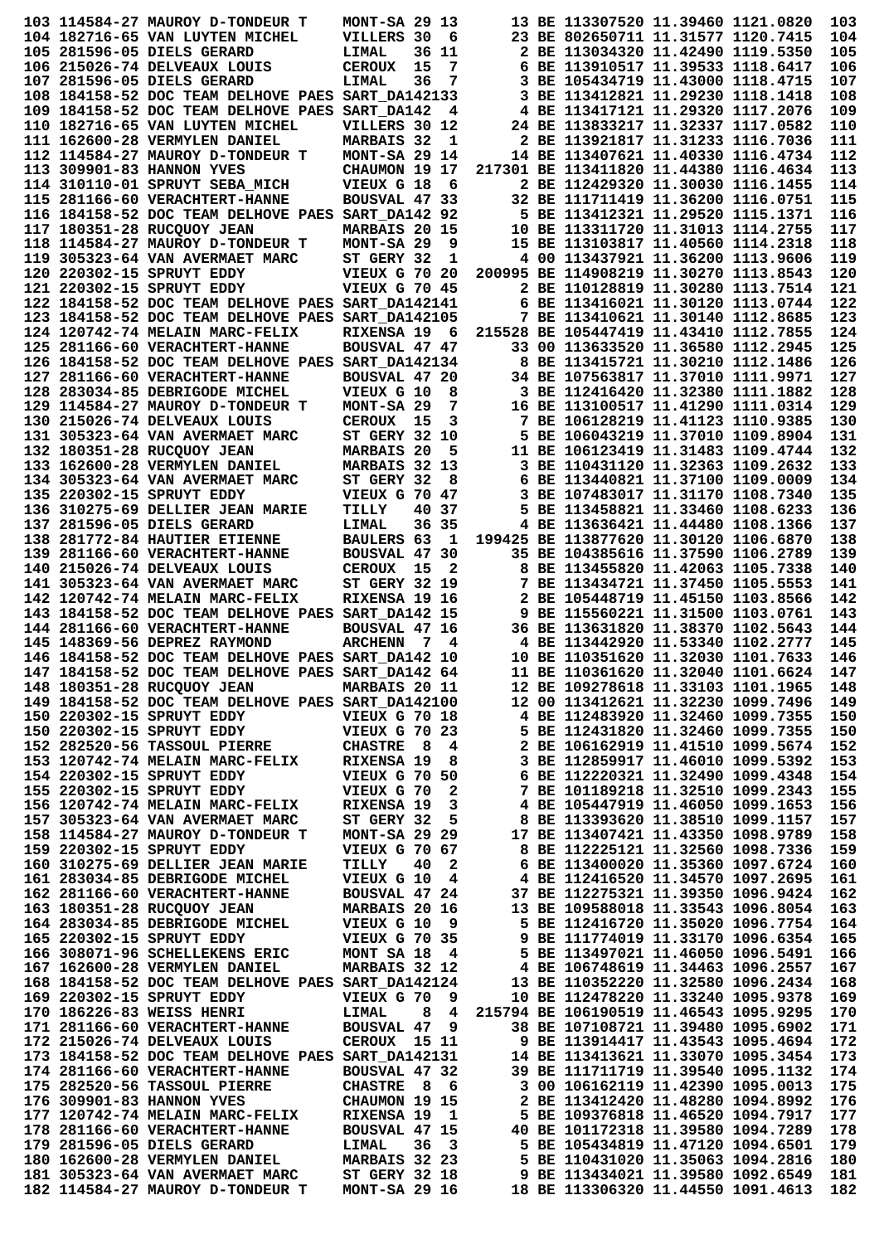|  | 103 114584-27 MAUROY D-TONDEUR T                                                                                                                                                                                                                                                                                     | MONT-SA 29 13                                           |                                                                                                                                                                                        | 13 BE 113307520 11.39460 1121.0820 |                                    | 103        |
|--|----------------------------------------------------------------------------------------------------------------------------------------------------------------------------------------------------------------------------------------------------------------------------------------------------------------------|---------------------------------------------------------|----------------------------------------------------------------------------------------------------------------------------------------------------------------------------------------|------------------------------------|------------------------------------|------------|
|  | 104 182716-65 VAN LUYTEN MICHEL                                                                                                                                                                                                                                                                                      | VILLERS 30 6                                            |                                                                                                                                                                                        | 23 BE 802650711 11.31577 1120.7415 |                                    | 104        |
|  | 105 281596-05 DIELS GERARD                                                                                                                                                                                                                                                                                           | 36 11<br>LIMAL                                          |                                                                                                                                                                                        | 2 BE 113034320 11.42490 1119.5350  |                                    | 105        |
|  | 106 215026-74 DELVEAUX LOUIS                                                                                                                                                                                                                                                                                         | <b>CEROUX</b><br>15<br>7                                |                                                                                                                                                                                        | 6 BE 113910517 11.39533 1118.6417  |                                    | 106        |
|  | 107 281596-05 DIELS GERARD                                                                                                                                                                                                                                                                                           | 36<br>7<br>LIMAL                                        |                                                                                                                                                                                        | 3 BE 105434719 11.43000 1118.4715  |                                    | 107        |
|  | 108 184158-52 DOC TEAM DELHOVE PAES SART DA142133                                                                                                                                                                                                                                                                    |                                                         |                                                                                                                                                                                        | 3 BE 113412821 11.29230 1118.1418  |                                    | 108        |
|  | 109 184158-52 DOC TEAM DELHOVE PAES SART DA142                                                                                                                                                                                                                                                                       | 4                                                       |                                                                                                                                                                                        | 4 BE 113417121 11.29320 1117.2076  |                                    | 109        |
|  | 110 182716-65 VAN LUYTEN MICHEL                                                                                                                                                                                                                                                                                      | VILLERS 30 12                                           |                                                                                                                                                                                        |                                    | 24 BE 113833217 11.32337 1117.0582 | 110        |
|  | 111 162600-28 VERMYLEN DANIEL                                                                                                                                                                                                                                                                                        | <b>MARBAIS 32</b><br>1                                  |                                                                                                                                                                                        | 2 BE 113921817 11.31233 1116.7036  |                                    | 111        |
|  | 112  114584-27  MAUROY D-TONDEUR T                                                                                                                                                                                                                                                                                   | MONT-SA 29 14                                           |                                                                                                                                                                                        |                                    | 14 BE 113407621 11.40330 1116.4734 | 112        |
|  | 113 309901-83 HANNON YVES                                                                                                                                                                                                                                                                                            | CHAUMON 19 17                                           | 217301 BE 113411820 11.44380 1116.4634                                                                                                                                                 |                                    |                                    | 113        |
|  | 114 310110-01 SPRUYT SEBA MICH                                                                                                                                                                                                                                                                                       | VIEUX G 18 6                                            |                                                                                                                                                                                        | 2 BE 112429320 11.30030 1116.1455  |                                    | 114        |
|  | 115 281166-60 VERACHTERT-HANNE                                                                                                                                                                                                                                                                                       | BOUSVAL 47 33                                           |                                                                                                                                                                                        | 32 BE 111711419 11.36200 1116.0751 |                                    | 115        |
|  | 116 184158-52 DOC TEAM DELHOVE PAES SART_DA142 92                                                                                                                                                                                                                                                                    |                                                         |                                                                                                                                                                                        | 5 BE 113412321 11.29520 1115.1371  |                                    | 116        |
|  | 117 180351-28 RUCQUOY JEAN                                                                                                                                                                                                                                                                                           | <b>MARBAIS 20 15</b>                                    |                                                                                                                                                                                        | 10 BE 113311720 11.31013 1114.2755 |                                    | 117        |
|  | 118 114584-27 MAUROY D-TONDEUR T                                                                                                                                                                                                                                                                                     | MONT-SA 29<br>9                                         |                                                                                                                                                                                        | 15 BE 113103817 11.40560 1114.2318 |                                    | 118        |
|  | 119 305323-64 VAN AVERMAET MARC                                                                                                                                                                                                                                                                                      | ST GERY 32<br>1                                         |                                                                                                                                                                                        | 4 00 113437921 11.36200 1113.9606  |                                    | 119        |
|  | 120 220302-15 SPRUYT EDDY                                                                                                                                                                                                                                                                                            | <b>VIEUX G 70 20</b>                                    | 200995 BE 114908219 11.30270 1113.8543                                                                                                                                                 |                                    |                                    | 120        |
|  | 121 220302-15 SPRUYT EDDY                                                                                                                                                                                                                                                                                            | <b>VIEUX G 70 45</b>                                    |                                                                                                                                                                                        |                                    | 2 BE 110128819 11.30280 1113.7514  | 121        |
|  | 122 184158-52 DOC TEAM DELHOVE PAES SART_DA142141                                                                                                                                                                                                                                                                    |                                                         |                                                                                                                                                                                        |                                    | 6 BE 113416021 11.30120 1113.0744  | 122        |
|  | 123 184158-52 DOC TEAM DELHOVE PAES SART DA142105                                                                                                                                                                                                                                                                    |                                                         |                                                                                                                                                                                        | 7 BE 113410621 11.30140 1112.8685  |                                    | 123        |
|  | 124 120742-74 MELAIN MARC-FELIX                                                                                                                                                                                                                                                                                      | RIXENSA 19 6                                            | 215528 BE 105447419 11.43410 1112.7855                                                                                                                                                 |                                    |                                    | 124        |
|  |                                                                                                                                                                                                                                                                                                                      | BOUSVAL 47 47                                           |                                                                                                                                                                                        | 33 00 113633520 11.36580 1112.2945 |                                    | 125        |
|  | 126 184158-52 DOC TEAM DELHOVE PAES SART DA142134                                                                                                                                                                                                                                                                    |                                                         |                                                                                                                                                                                        | 8 BE 113415721 11.30210 1112.1486  |                                    | 126        |
|  | 127 281166-60 VERACHTERT-HANNE                                                                                                                                                                                                                                                                                       | BOUSVAL 47 20                                           |                                                                                                                                                                                        | 34 BE 107563817 11.37010 1111.9971 |                                    | 127        |
|  | 128 283034-85 DEBRIGODE MICHEL                                                                                                                                                                                                                                                                                       | VIEUX G 10<br>8                                         |                                                                                                                                                                                        |                                    | 3 BE 112416420 11.32380 1111.1882  | 128        |
|  | 129 114584-27 MAUROY D-TONDEUR T                                                                                                                                                                                                                                                                                     | 7<br>MONT-SA 29                                         |                                                                                                                                                                                        |                                    | 16 BE 113100517 11.41290 1111.0314 | 129        |
|  | 130 215026-74 DELVEAUX LOUIS                                                                                                                                                                                                                                                                                         | 3<br>CEROUX 15                                          |                                                                                                                                                                                        | 7 BE 106128219 11.41123 1110.9385  |                                    | 130        |
|  | 131 305323-64 VAN AVERMAET MARC                                                                                                                                                                                                                                                                                      | ST GERY 32 10                                           |                                                                                                                                                                                        |                                    | 5 BE 106043219 11.37010 1109.8904  | 131        |
|  | 132 180351-28 RUCQUOY JEAN                                                                                                                                                                                                                                                                                           | <b>MARBAIS 20</b><br>5                                  |                                                                                                                                                                                        |                                    | 11 BE 106123419 11.31483 1109.4744 | 132        |
|  | 133 162600-28 VERMYLEN DANIEL                                                                                                                                                                                                                                                                                        | MARBAIS 32 13                                           |                                                                                                                                                                                        |                                    | 3 BE 110431120 11.32363 1109.2632  | 133        |
|  | 134 305323-64 VAN AVERMAET MARC                                                                                                                                                                                                                                                                                      | ST GERY 32<br>8                                         |                                                                                                                                                                                        | 6 BE 113440821 11.37100 1109.0009  |                                    | 134        |
|  | 135 220302-15 SPRUYT EDDY                                                                                                                                                                                                                                                                                            | VIEUX G 70 47                                           |                                                                                                                                                                                        |                                    | 3 BE 107483017 11.31170 1108.7340  | 135        |
|  | 136 310275-69 DELLIER JEAN MARIE                                                                                                                                                                                                                                                                                     | 40 37<br>TILLY                                          |                                                                                                                                                                                        | 5 BE 113458821 11.33460 1108.6233  |                                    | 136        |
|  | 137 281596-05 DIELS GERARD                                                                                                                                                                                                                                                                                           | 36 35<br>LIMAL                                          |                                                                                                                                                                                        | 4 BE 113636421 11.44480 1108.1366  |                                    | 137        |
|  | 138 281772-84 HAUTIER ETIENNE                                                                                                                                                                                                                                                                                        | BAULERS 63<br>1                                         | 199425 BE 113877620 11.30120 1106.6870                                                                                                                                                 |                                    |                                    | 138        |
|  | 139 281166-60 VERACHTERT-HANNE                                                                                                                                                                                                                                                                                       | BOUSVAL 47 30                                           |                                                                                                                                                                                        | 35 BE 104385616 11.37590 1106.2789 |                                    | 139        |
|  | 140 215026-74 DELVEAUX LOUIS                                                                                                                                                                                                                                                                                         | CEROUX 15<br>2                                          |                                                                                                                                                                                        | 8 BE 113455820 11.42063 1105.7338  |                                    | 140        |
|  | 141 305323-64 VAN AVERMAET MARC                                                                                                                                                                                                                                                                                      | <b>ST GERY 32 19</b>                                    |                                                                                                                                                                                        | 7 BE 113434721 11.37450 1105.5553  |                                    | 141        |
|  | 142 120742-74 MELAIN MARC-FELIX                                                                                                                                                                                                                                                                                      | RIXENSA 19 16                                           |                                                                                                                                                                                        | 2 BE 105448719 11.45150 1103.8566  |                                    | 142        |
|  | 143 184158-52 DOC TEAM DELHOVE PAES SART DA142 15                                                                                                                                                                                                                                                                    |                                                         |                                                                                                                                                                                        | 9 BE 115560221 11.31500 1103.0761  |                                    | 143        |
|  | 144 281166-60 VERACHTERT-HANNE                                                                                                                                                                                                                                                                                       | BOUSVAL 47 16                                           |                                                                                                                                                                                        |                                    | 36 BE 113631820 11.38370 1102.5643 | 144        |
|  | 145 148369-56 DEPREZ RAYMOND                                                                                                                                                                                                                                                                                         | <b>ARCHENN</b><br>7<br>4                                |                                                                                                                                                                                        | 4 BE 113442920 11.53340 1102.2777  |                                    | 145        |
|  | 146 184158-52 DOC TEAM DELHOVE PAES SART DA142 10                                                                                                                                                                                                                                                                    |                                                         |                                                                                                                                                                                        | 10 BE 110351620 11.32030 1101.7633 |                                    | 146        |
|  | 147 184158-52 DOC TEAM DELHOVE PAES SART_DA142 64                                                                                                                                                                                                                                                                    |                                                         |                                                                                                                                                                                        |                                    |                                    | 147        |
|  |                                                                                                                                                                                                                                                                                                                      |                                                         |                                                                                                                                                                                        |                                    |                                    | 148        |
|  | 11 BE 110361620 11.32040 1101.6624<br>149 184158-52 DOC TEAM DELHOVE PAES SART DA142100<br>150 220302-15 SPRUYT EDDY<br>150 220302-15 SPRUYT EDDY                                                                                                                                                                    |                                                         |                                                                                                                                                                                        |                                    |                                    | 149        |
|  |                                                                                                                                                                                                                                                                                                                      |                                                         |                                                                                                                                                                                        |                                    |                                    | 150        |
|  | 150 220302-15 SPRUYT EDDY                                                                                                                                                                                                                                                                                            | <b>VIEUX G 70 23</b>                                    | 5 BE 112431820 11.32460 1099.7355<br>2 BE 106162919 11.41510 1099.5674<br>3 BE 112859917 11.46010 1099.5392                                                                            |                                    |                                    | 150        |
|  | 152 282520-56 TASSOUL PIERRE                                                                                                                                                                                                                                                                                         | <b>CHASTRE 8 4</b>                                      |                                                                                                                                                                                        |                                    |                                    | 152        |
|  | 153 120742-74 MELAIN MARC-FELIX RIXENSA 19 8                                                                                                                                                                                                                                                                         |                                                         |                                                                                                                                                                                        |                                    |                                    | 153        |
|  | 154 220302-15 SPRUYT EDDY                                                                                                                                                                                                                                                                                            |                                                         |                                                                                                                                                                                        | 6 BE 112220321 11.32490 1099.4348  |                                    | 154        |
|  | 155 220302-15 SPRUYT EDDY                                                                                                                                                                                                                                                                                            | <b>VIEUX G 70 50<br/>VIEUX G 70 2</b>                   |                                                                                                                                                                                        |                                    | 7 BE 101189218 11.32510 1099.2343  | 155        |
|  | 156 120742-74 MELAIN MARC-FELIX RIXENSA 19                                                                                                                                                                                                                                                                           | 3                                                       |                                                                                                                                                                                        |                                    | 4 BE 105447919 11.46050 1099.1653  | 156        |
|  | 157 305323-64 VAN AVERMAET MARC                                                                                                                                                                                                                                                                                      | ST GERY 32 5                                            |                                                                                                                                                                                        |                                    | 8 BE 113393620 11.38510 1099.1157  | 157        |
|  | 158 114584-27 MAUROY D-TONDEUR T                                                                                                                                                                                                                                                                                     | <b>MONT-SA 29 29</b>                                    |                                                                                                                                                                                        |                                    | 17 BE 113407421 11.43350 1098.9789 | 158        |
|  | 159 220302-15 SPRUYT EDDY                                                                                                                                                                                                                                                                                            | <b>VIEUX G 70 67</b>                                    |                                                                                                                                                                                        | 8 BE 112225121 11.32560 1098.7336  |                                    | 159        |
|  | 160 310275-69 DELLIER JEAN MARIE                                                                                                                                                                                                                                                                                     | TILLY<br>40 2                                           |                                                                                                                                                                                        |                                    | 6 BE 113400020 11.35360 1097.6724  | 160        |
|  | 161 283034-85 DEBRIGODE MICHEL                                                                                                                                                                                                                                                                                       | <b>VIEUX G 10 4</b>                                     |                                                                                                                                                                                        |                                    | 4 BE 112416520 11.34570 1097.2695  | 161        |
|  | 162 281166-60 VERACHTERT-HANNE                                                                                                                                                                                                                                                                                       | <b>BOUSVAL 47 24</b>                                    | 37 BE 112275321 11.39350 1096.9424<br>13 BE 109588018 11.33543 1096.8054                                                                                                               |                                    |                                    | 162        |
|  | 163 180351-28 RUCQUOY JEAN                                                                                                                                                                                                                                                                                           |                                                         |                                                                                                                                                                                        |                                    |                                    | 163        |
|  | 164 283034-85 DEBRIGODE MICHEL                                                                                                                                                                                                                                                                                       | <b>MARBAIS 20 16<br/>VIEUX G 10 9<br/>VIEUX G 70 35</b> |                                                                                                                                                                                        |                                    | 5 BE 112416720 11.35020 1096.7754  | 164        |
|  | 165 220302-15 SPRUYT EDDY                                                                                                                                                                                                                                                                                            |                                                         | 9 BE 112416720 11.33020 1096.7754<br>9 BE 111774019 11.33170 1096.6354<br>5 BE 113497021 11.46050 1096.5491<br>4 BE 106748619 11.34463 1096.2557<br>13 BE 110352220 11.32580 1096.2434 |                                    |                                    | 165        |
|  | 166 308071-96 SCHELLEKENS ERIC                                                                                                                                                                                                                                                                                       | <b>MONT SA 18 4</b>                                     |                                                                                                                                                                                        |                                    |                                    | 166        |
|  | 167 162600-28 VERMYLEN DANIEL                                                                                                                                                                                                                                                                                        | <b>MARBAIS 32 12</b>                                    |                                                                                                                                                                                        |                                    |                                    | 167        |
|  | 168 184158-52 DOC TEAM DELHOVE PAES SART DA142124                                                                                                                                                                                                                                                                    |                                                         |                                                                                                                                                                                        |                                    |                                    | 168        |
|  | 169 220302-15 SPRUYT EDDY                                                                                                                                                                                                                                                                                            | VIEUX G 70 9                                            |                                                                                                                                                                                        |                                    | 10 BE 112478220 11.33240 1095.9378 | 169        |
|  | 170 186226-83 WEISS HENRI                                                                                                                                                                                                                                                                                            | $LIMAL$ 8 4                                             | 215794 BE 106190519 11.46543 1095.9295                                                                                                                                                 |                                    |                                    | 170        |
|  | 171 281166-60 VERACHTERT-HANNE BOUSVAL 47 9                                                                                                                                                                                                                                                                          |                                                         |                                                                                                                                                                                        |                                    | 38 BE 107108721 11.39480 1095.6902 | 171        |
|  |                                                                                                                                                                                                                                                                                                                      | CEROUX 15 11                                            | 9 BE 113914417 11.43543 1095.4694<br>14 BE 113413621 11.33070 1095.3454                                                                                                                |                                    |                                    | 172        |
|  |                                                                                                                                                                                                                                                                                                                      |                                                         |                                                                                                                                                                                        |                                    |                                    | 173        |
|  | 172  215026-74  DELVEAUX  LOUIS                                                                                                                                                                                                                                                                                      |                                                         |                                                                                                                                                                                        |                                    |                                    |            |
|  | 173 184158-52 DOC TEAM DELHOVE PAES SART_DA142131                                                                                                                                                                                                                                                                    |                                                         |                                                                                                                                                                                        |                                    |                                    |            |
|  | 174 281166-60 VERACHTERT-HANNE                                                                                                                                                                                                                                                                                       | BOUSVAL 47 32                                           |                                                                                                                                                                                        |                                    | 39 BE 111711719 11.39540 1095.1132 | 174        |
|  | 175 282520-56 TASSOUL PIERRE                                                                                                                                                                                                                                                                                         | <b>CHASTRE 8 6</b>                                      |                                                                                                                                                                                        |                                    |                                    | 175        |
|  |                                                                                                                                                                                                                                                                                                                      |                                                         |                                                                                                                                                                                        |                                    |                                    | 176        |
|  |                                                                                                                                                                                                                                                                                                                      |                                                         |                                                                                                                                                                                        |                                    |                                    | 177        |
|  |                                                                                                                                                                                                                                                                                                                      |                                                         | 3 00 106162119 11.42390 1095.0013<br>2 BE 113412420 11.48280 1094.8992<br>5 BE 109376818 11.46520 1094.7917<br>40 BE 101172318 11.39580 1094.7289                                      |                                    |                                    | 178        |
|  |                                                                                                                                                                                                                                                                                                                      |                                                         |                                                                                                                                                                                        | 5 BE 105434819 11.47120 1094.6501  |                                    | 179        |
|  | 176 309901-83 HANNON YVES<br>177 120742-74 MELAIN MARC-FELIX RIXENSA 19 1<br>178 281166-60 VERACHTERT-HANNE BOUSVAL 47 15<br>179 281596-05 DIELS GERARD LIMAL 36 3<br>180 162600-28 VERMYLEN DANIEL MARBAIS 32 23<br>181 305323-64 VAN AVERMAET MARC ST GERY 32 18<br>182 114584-27 MAUROY D-TONDEUR T MONT-SA 29 16 |                                                         | 5 BE 110431020 11.35063 1094.2816<br>- -- ------------ 11.35063 1094.2816<br>9 BE 113434021 11.39580 1092.6549<br>18 BE 113306320 11.4455                                              |                                    |                                    | 180<br>181 |